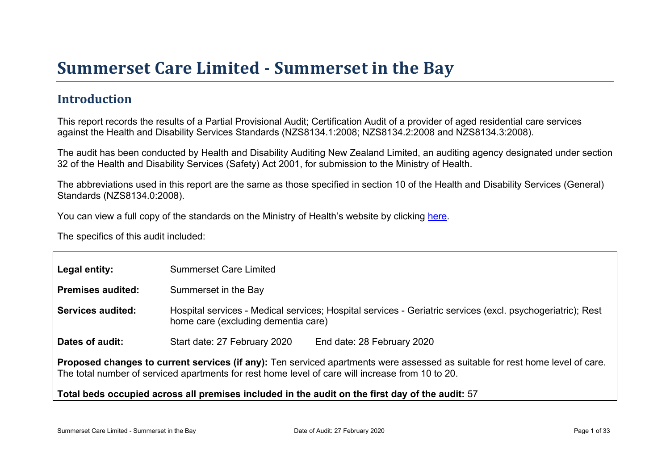## Introduction

This report records the results of a Partial Provisional Audit; Certification Audit of a provider of aged residential care services against the Health and Disability Services Standards (NZS8134.1:2008; NZS8134.2:2008 and NZS8134.3:2008).

The audit has been conducted by Health and Disability Auditing New Zealand Limited, an auditing agency designated under section 32 of the Health and Disability Services (Safety) Act 2001, for submission to the Ministry of Health.

The abbreviations used in this report are the same as those specified in section 10 of the Health and Disability Services (General) Standards (NZS8134.0:2008).

You can view a full copy of the standards on the Ministry of Health's website by clicking [here.](http://www.health.govt.nz/our-work/regulation-health-and-disability-system/certification-health-care-services/health-and-disability-services-standards)

The specifics of this audit included:

| Legal entity:                                                                                                                                                                                                                     | <b>Summerset Care Limited</b>                                                                                                                     |  |  |  |
|-----------------------------------------------------------------------------------------------------------------------------------------------------------------------------------------------------------------------------------|---------------------------------------------------------------------------------------------------------------------------------------------------|--|--|--|
| Premises audited:                                                                                                                                                                                                                 | Summerset in the Bay                                                                                                                              |  |  |  |
| Services audited:                                                                                                                                                                                                                 | Hospital services - Medical services; Hospital services - Geriatric services (excl. psychogeriatric); Rest<br>home care (excluding dementia care) |  |  |  |
| Dates of audit:                                                                                                                                                                                                                   | Start date: 27 February 2020<br>End date: 28 February 2020                                                                                        |  |  |  |
| Proposed changes to current services (if any): Ten serviced apartments were assessed as suitable for rest home level of care.<br>The total number of serviced apartments for rest home level of care will increase from 10 to 20. |                                                                                                                                                   |  |  |  |
| Total beds occupied across all premises included                                                                                                                                                                                  | in the audit on the first day of the audit: 57                                                                                                    |  |  |  |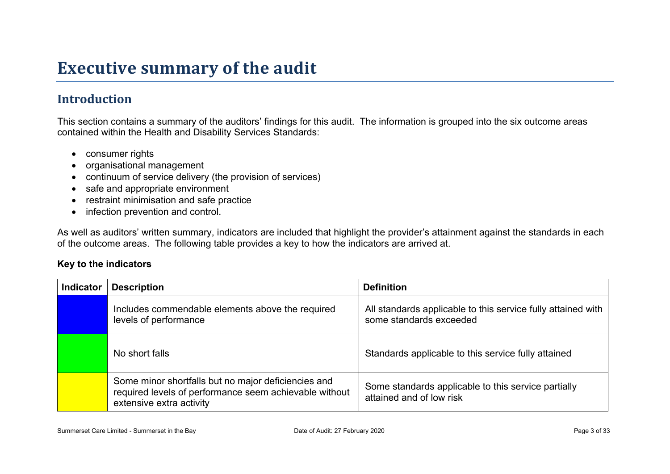# **Executive summary of the audit**

## **Introduction**

This section contains a summary of the auditors' findings for this audit. The information is grouped into the six outcome areas contained within the Health and Disability Services Standards:

- consumer rights
- organisational management
- continuum of service delivery (the provision of services)
- safe and appropriate environment
- restraint minimisation and safe practice
- infection prevention and control.

As well as auditors' written summary, indicators are included that highlight the provider's attainment against the standards in each of the outcome areas. The following table provides a key to how the indicators are arrived at.

#### **Key to the indicators**

| <b>Indicator</b> | <b>Description</b>                                                                                                                        | <b>Definition</b>                                                                       |
|------------------|-------------------------------------------------------------------------------------------------------------------------------------------|-----------------------------------------------------------------------------------------|
|                  | Includes commendable elements above the required<br>levels of performance                                                                 | All standards applicable to this service fully attained with<br>some standards exceeded |
|                  | No short falls                                                                                                                            | Standards applicable to this service fully attained                                     |
|                  | Some minor shortfalls but no major deficiencies and<br>required levels of performance seem achievable without<br>extensive extra activity | Some standards applicable to this service partially<br>attained and of low risk         |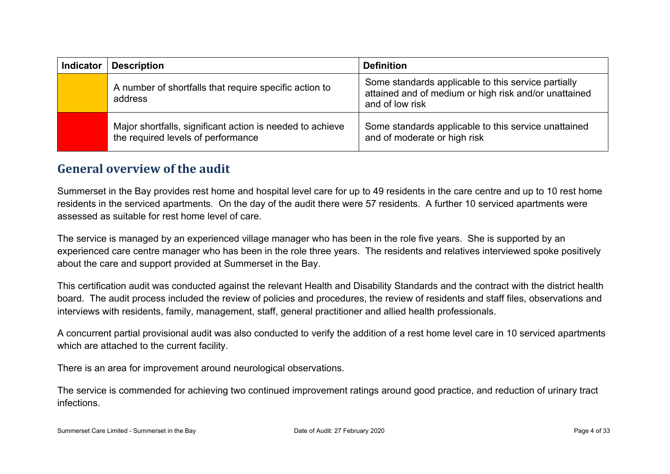| <b>Indicator</b> | <b>Description</b>                                                                              | <b>Definition</b>                                                                                                               |
|------------------|-------------------------------------------------------------------------------------------------|---------------------------------------------------------------------------------------------------------------------------------|
|                  | A number of shortfalls that require specific action to<br>address                               | Some standards applicable to this service partially<br>attained and of medium or high risk and/or unattained<br>and of low risk |
|                  | Major shortfalls, significant action is needed to achieve<br>the required levels of performance | Some standards applicable to this service unattained<br>and of moderate or high risk                                            |

#### **General overview of the audit**

Summerset in the Bay provides rest home and hospital level care for up to 49 residents in the care centre and up to 10 rest home residents in the serviced apartments. On the day of the audit there were 57 residents. A further 10 serviced apartments were assessed as suitable for rest home level of care.

The service is managed by an experienced village manager who has been in the role five years. She is supported by an experienced care centre manager who has been in the role three years. The residents and relatives interviewed spoke positively about the care and support provided at Summerset in the Bay.

This certification audit was conducted against the relevant Health and Disability Standards and the contract with the district health board. The audit process included the review of policies and procedures, the review of residents and staff files, observations and interviews with residents, family, management, staff, general practitioner and allied health professionals.

A concurrent partial provisional audit was also conducted to verify the addition of a rest home level care in 10 serviced apartments which are attached to the current facility.

There is an area for improvement around neurological observations.

The service is commended for achieving two continued improvement ratings around good practice, and reduction of urinary tract infections.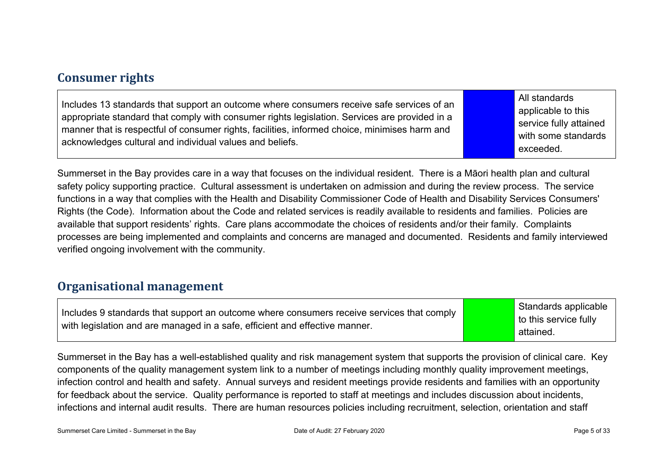#### **Consumer rights**

| Includes 13 standards that support an outcome where consumers receive safe services of an<br>appropriate standard that comply with consumer rights legislation. Services are provided in a<br>manner that is respectful of consumer rights, facilities, informed choice, minimises harm and<br>acknowledges cultural and individual values and beliefs. | All standards<br>applicable to this<br>service fully attained<br>with some standards<br>exceeded. |
|---------------------------------------------------------------------------------------------------------------------------------------------------------------------------------------------------------------------------------------------------------------------------------------------------------------------------------------------------------|---------------------------------------------------------------------------------------------------|
|---------------------------------------------------------------------------------------------------------------------------------------------------------------------------------------------------------------------------------------------------------------------------------------------------------------------------------------------------------|---------------------------------------------------------------------------------------------------|

Summerset in the Bay provides care in a way that focuses on the individual resident. There is a Māori health plan and cultural safety policy supporting practice. Cultural assessment is undertaken on admission and during the review process. The service functions in a way that complies with the Health and Disability Commissioner Code of Health and Disability Services Consumers' Rights (the Code). Information about the Code and related services is readily available to residents and families. Policies are available that support residents' rights. Care plans accommodate the choices of residents and/or their family. Complaints processes are being implemented and complaints and concerns are managed and documented. Residents and family interviewed verified ongoing involvement with the community.

#### **Organisational management**

| Includes 9 standards that support an outcome where consumers receive services that comply | Standards applicable               |
|-------------------------------------------------------------------------------------------|------------------------------------|
| $\perp$ with legislation and are managed in a safe, efficient and effective manner.       | to this service fully<br>attained. |

Summerset in the Bay has a well-established quality and risk management system that supports the provision of clinical care. Key components of the quality management system link to a number of meetings including monthly quality improvement meetings, infection control and health and safety. Annual surveys and resident meetings provide residents and families with an opportunity for feedback about the service. Quality performance is reported to staff at meetings and includes discussion about incidents, infections and internal audit results. There are human resources policies including recruitment, selection, orientation and staff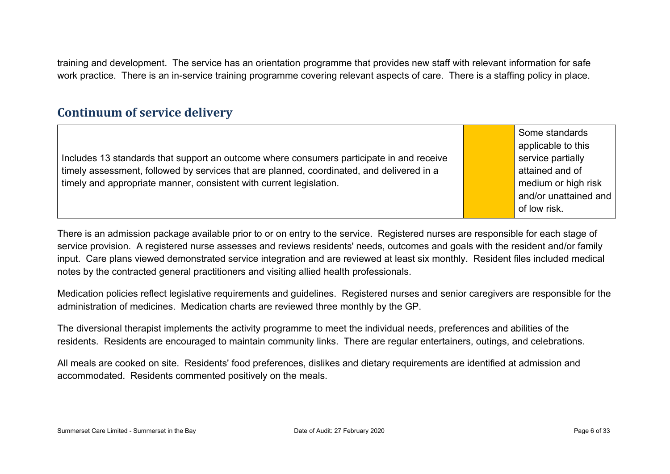training and development. The service has an orientation programme that provides new staff with relevant information for safe work practice. There is an in-service training programme covering relevant aspects of care. There is a staffing policy in place.

#### **Continuum of service delivery**

|                                                                                           | Some standards        |
|-------------------------------------------------------------------------------------------|-----------------------|
|                                                                                           | applicable to this    |
| Includes 13 standards that support an outcome where consumers participate in and receive  | service partially     |
| timely assessment, followed by services that are planned, coordinated, and delivered in a | attained and of       |
| timely and appropriate manner, consistent with current legislation.                       | medium or high risk   |
|                                                                                           | and/or unattained and |
|                                                                                           | of low risk.          |

There is an admission package available prior to or on entry to the service. Registered nurses are responsible for each stage of service provision. A registered nurse assesses and reviews residents' needs, outcomes and goals with the resident and/or family input. Care plans viewed demonstrated service integration and are reviewed at least six monthly. Resident files included medical notes by the contracted general practitioners and visiting allied health professionals.

Medication policies reflect legislative requirements and guidelines. Registered nurses and senior caregivers are responsible for the administration of medicines. Medication charts are reviewed three monthly by the GP.

The diversional therapist implements the activity programme to meet the individual needs, preferences and abilities of the residents. Residents are encouraged to maintain community links. There are regular entertainers, outings, and celebrations.

All meals are cooked on site. Residents' food preferences, dislikes and dietary requirements are identified at admission and accommodated. Residents commented positively on the meals.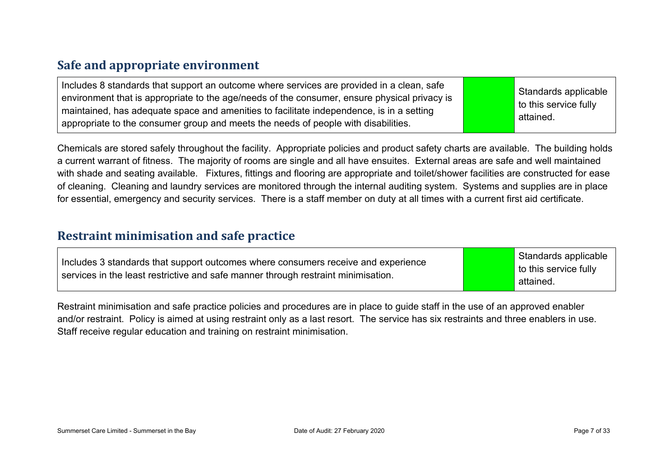## **Safe and appropriate environment**

| Includes 8 standards that support an outcome where services are provided in a clean, safe<br>$\alpha$ environment that is appropriate to the age/needs of the consumer, ensure physical privacy is<br>maintained, has adequate space and amenities to facilitate independence, is in a setting<br>appropriate to the consumer group and meets the needs of people with disabilities. |  | Standards applicable<br>$\vert$ to this service fully<br>attained. |
|--------------------------------------------------------------------------------------------------------------------------------------------------------------------------------------------------------------------------------------------------------------------------------------------------------------------------------------------------------------------------------------|--|--------------------------------------------------------------------|
|--------------------------------------------------------------------------------------------------------------------------------------------------------------------------------------------------------------------------------------------------------------------------------------------------------------------------------------------------------------------------------------|--|--------------------------------------------------------------------|

Chemicals are stored safely throughout the facility. Appropriate policies and product safety charts are available. The building holds a current warrant of fitness. The majority of rooms are single and all have ensuites. External areas are safe and well maintained with shade and seating available. Fixtures, fittings and flooring are appropriate and toilet/shower facilities are constructed for ease of cleaning. Cleaning and laundry services are monitored through the internal auditing system. Systems and supplies are in place for essential, emergency and security services. There is a staff member on duty at all times with a current first aid certificate.

#### **Restraint minimisation and safe practice**

| Includes 3 standards that support outcomes where consumers receive and experience<br>services in the least restrictive and safe manner through restraint minimisation. | Standards applicable<br>$\vert$ to this service fully<br>attained. |
|------------------------------------------------------------------------------------------------------------------------------------------------------------------------|--------------------------------------------------------------------|
|------------------------------------------------------------------------------------------------------------------------------------------------------------------------|--------------------------------------------------------------------|

Restraint minimisation and safe practice policies and procedures are in place to guide staff in the use of an approved enabler and/or restraint. Policy is aimed at using restraint only as a last resort. The service has six restraints and three enablers in use. Staff receive regular education and training on restraint minimisation.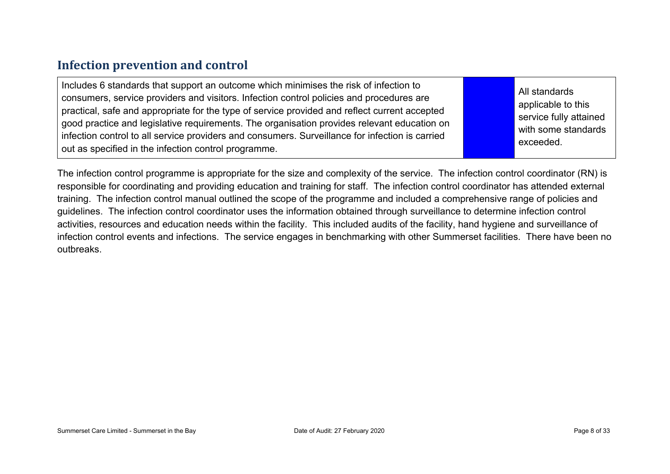#### **Infection prevention and control**

| Includes 6 standards that support an outcome which minimises the risk of infection to<br>consumers, service providers and visitors. Infection control policies and procedures are<br>practical, safe and appropriate for the type of service provided and reflect current accepted<br>good practice and legislative requirements. The organisation provides relevant education on<br>infection control to all service providers and consumers. Surveillance for infection is carried<br>out as specified in the infection control programme. |  | All standards<br>applicable to this<br>service fully attained<br>with some standards<br>exceeded. |
|----------------------------------------------------------------------------------------------------------------------------------------------------------------------------------------------------------------------------------------------------------------------------------------------------------------------------------------------------------------------------------------------------------------------------------------------------------------------------------------------------------------------------------------------|--|---------------------------------------------------------------------------------------------------|
|----------------------------------------------------------------------------------------------------------------------------------------------------------------------------------------------------------------------------------------------------------------------------------------------------------------------------------------------------------------------------------------------------------------------------------------------------------------------------------------------------------------------------------------------|--|---------------------------------------------------------------------------------------------------|

The infection control programme is appropriate for the size and complexity of the service. The infection control coordinator (RN) is responsible for coordinating and providing education and training for staff. The infection control coordinator has attended external training. The infection control manual outlined the scope of the programme and included a comprehensive range of policies and guidelines. The infection control coordinator uses the information obtained through surveillance to determine infection control activities, resources and education needs within the facility. This included audits of the facility, hand hygiene and surveillance of infection control events and infections. The service engages in benchmarking with other Summerset facilities. There have been no outbreaks.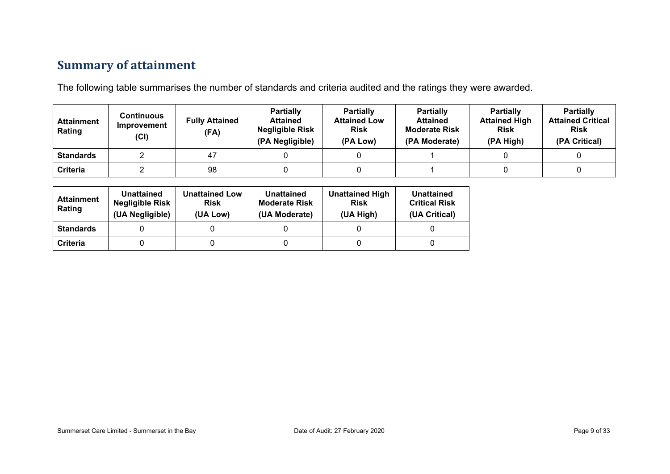## **Summary of attainment**

The following table summarises the number of standards and criteria audited and the ratings they were awarded.

| <b>Attainment</b><br>Rating | Continuous<br>Improvement<br>(Cl) | <b>Fully Attained</b><br>(FA) | <b>Partially</b><br><b>Attained</b><br><b>Negligible Risk</b><br>(PA Negligible) | <b>Partially</b><br><b>Attained Low</b><br><b>Risk</b><br>(PA Low) | <b>Partially</b><br><b>Attained</b><br><b>Moderate Risk</b><br>(PA Moderate) | <b>Partially</b><br><b>Attained High</b><br><b>Risk</b><br>(PA High) | <b>Partially</b><br><b>Attained Critical</b><br><b>Risk</b><br>(PA Critical) |
|-----------------------------|-----------------------------------|-------------------------------|----------------------------------------------------------------------------------|--------------------------------------------------------------------|------------------------------------------------------------------------------|----------------------------------------------------------------------|------------------------------------------------------------------------------|
| <b>Standards</b>            |                                   | 47                            |                                                                                  |                                                                    |                                                                              |                                                                      |                                                                              |
| Criteria                    |                                   | 98                            |                                                                                  |                                                                    |                                                                              |                                                                      |                                                                              |

| <b>Attainment</b><br>Rating | Unattained<br><b>Negligible Risk</b><br>(UA Negligible) | <b>Unattained Low</b><br><b>Risk</b><br>(UA Low) | Unattained<br><b>Moderate Risk</b><br>(UA Moderate) | <b>Unattained High</b><br><b>Risk</b><br>(UA High) | Unattained<br><b>Critical Risk</b><br>(UA Critical) |
|-----------------------------|---------------------------------------------------------|--------------------------------------------------|-----------------------------------------------------|----------------------------------------------------|-----------------------------------------------------|
| <b>Standards</b>            |                                                         |                                                  |                                                     |                                                    |                                                     |
| Criteria                    |                                                         |                                                  |                                                     |                                                    |                                                     |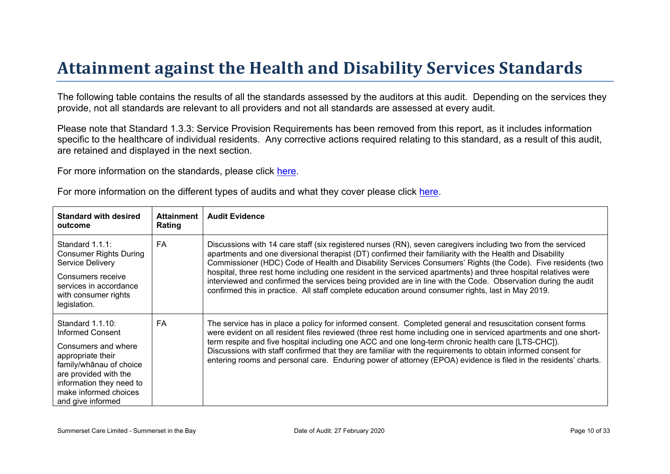# Attainment against the Health and Disability Ser vices Standar ds

The following table contains the results of all the standards assessed by the auditors at this audit. Depending on the services they provide, not all standards are relevant to all providers and not all standards are assessed at every audit.

Please note that Standard 1.3.3: Service Provision Requirements has been removed from this report, as it includes information specific to the healthcare of individual residents. Any corrective actions required relating to this standard, as a result of this audit, are retained and displayed in the next section.

For more information on the standards, please click [here](http://www.health.govt.nz/our-work/regulation-health-and-disability-system/certification-health-care-services/health-and-disability-services-standards).

|  | For more information on the different types of audits and what they cover please click here. |
|--|----------------------------------------------------------------------------------------------|
|  |                                                                                              |

| Standard with desired<br>outcome                                                                                                                                                                                     | Attainment<br>Rating | <b>Audit Evidence</b>                                                                                                                                                                                                                                                                                                                                                                                                                                                                                                                                                                                                                                                            |
|----------------------------------------------------------------------------------------------------------------------------------------------------------------------------------------------------------------------|----------------------|----------------------------------------------------------------------------------------------------------------------------------------------------------------------------------------------------------------------------------------------------------------------------------------------------------------------------------------------------------------------------------------------------------------------------------------------------------------------------------------------------------------------------------------------------------------------------------------------------------------------------------------------------------------------------------|
| Standard 1.1.1:<br><b>Consumer Rights During</b><br>Service Delivery<br>Consumers receive<br>services in accordance<br>with consumer rights<br>legislation.                                                          | FA                   | Discussions with 14 care staff (six registered nurses (RN), seven caregivers including two from the serviced<br>apartments and one diversional therapist (DT) confirmed their familiarity with the Health and Disability<br>Commissioner (HDC) Code of Health and Disability Services Consumers' Rights (the Code). Five residents (two<br>hospital, three rest home including one resident in the serviced apartments) and three hospital relatives were<br>interviewed and confirmed the services being provided are in line with the Code. Observation during the audit<br>confirmed this in practice. All staff complete education around consumer rights, last in May 2019. |
| Standard 1.1.10:<br>Informed Consent<br>Consumers and where<br>appropriate their<br>$\frac{1}{2}$ = / @ of choice<br>are provided with the<br>information they need to<br>make informed choices<br>and give informed | FA                   | The service has in place a policy for informed consent. Completed general and resuscitation consent forms<br>were evident on all resident files reviewed (three rest home including one in serviced apartments and one short-<br>term respite and five hospital including one ACC and one long-term chronic health care [LTS-CHC]).<br>Discussions with staff confirmed that they are familiar with the requirements to obtain informed consent for<br>entering rooms and personal care. Enduring power of attorney (EPOA) evidence is filed in the residents' charts.                                                                                                           |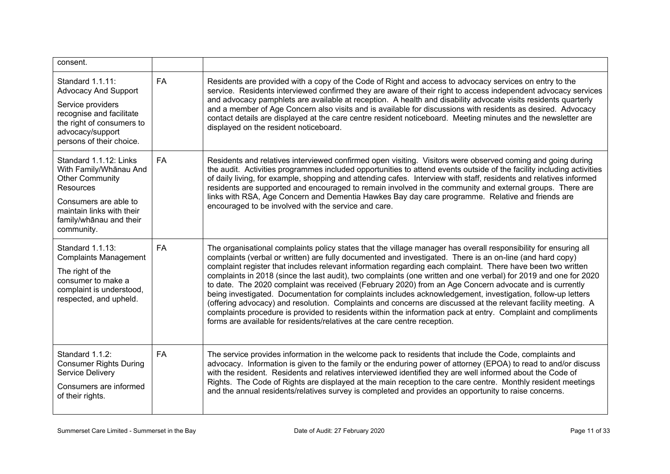| consent.                                                                                                                                                                                      |           |                                                                                                                                                                                                                                                                                                                                                                                                                                                                                                                                                                                                                                                                                                                                                                                                                                                                                                                                                                                                          |
|-----------------------------------------------------------------------------------------------------------------------------------------------------------------------------------------------|-----------|----------------------------------------------------------------------------------------------------------------------------------------------------------------------------------------------------------------------------------------------------------------------------------------------------------------------------------------------------------------------------------------------------------------------------------------------------------------------------------------------------------------------------------------------------------------------------------------------------------------------------------------------------------------------------------------------------------------------------------------------------------------------------------------------------------------------------------------------------------------------------------------------------------------------------------------------------------------------------------------------------------|
| Standard 1.1.11:<br><b>Advocacy And Support</b><br>Service providers<br>recognise and facilitate<br>the right of consumers to<br>advocacy/support<br>persons of their choice.                 | <b>FA</b> | Residents are provided with a copy of the Code of Right and access to advocacy services on entry to the<br>service. Residents interviewed confirmed they are aware of their right to access independent advocacy services<br>and advocacy pamphlets are available at reception. A health and disability advocate visits residents quarterly<br>and a member of Age Concern also visits and is available for discussions with residents as desired. Advocacy<br>contact details are displayed at the care centre resident noticeboard. Meeting minutes and the newsletter are<br>displayed on the resident noticeboard.                                                                                                                                                                                                                                                                                                                                                                                   |
| Standard 1.1.12: Links<br>With Family/Whanau And<br><b>Other Community</b><br><b>Resources</b><br>Consumers are able to<br>maintain links with their<br>family/whanau and their<br>community. | <b>FA</b> | Residents and relatives interviewed confirmed open visiting. Visitors were observed coming and going during<br>the audit. Activities programmes included opportunities to attend events outside of the facility including activities<br>of daily living, for example, shopping and attending cafes. Interview with staff, residents and relatives informed<br>residents are supported and encouraged to remain involved in the community and external groups. There are<br>links with RSA, Age Concern and Dementia Hawkes Bay day care programme. Relative and friends are<br>encouraged to be involved with the service and care.                                                                                                                                                                                                                                                                                                                                                                      |
| Standard 1.1.13:<br><b>Complaints Management</b><br>The right of the<br>consumer to make a<br>complaint is understood,<br>respected, and upheld.                                              | <b>FA</b> | The organisational complaints policy states that the village manager has overall responsibility for ensuring all<br>complaints (verbal or written) are fully documented and investigated. There is an on-line (and hard copy)<br>complaint register that includes relevant information regarding each complaint. There have been two written<br>complaints in 2018 (since the last audit), two complaints (one written and one verbal) for 2019 and one for 2020<br>to date. The 2020 complaint was received (February 2020) from an Age Concern advocate and is currently<br>being investigated. Documentation for complaints includes acknowledgement, investigation, follow-up letters<br>(offering advocacy) and resolution. Complaints and concerns are discussed at the relevant facility meeting. A<br>complaints procedure is provided to residents within the information pack at entry. Complaint and compliments<br>forms are available for residents/relatives at the care centre reception. |
| Standard 1.1.2:<br><b>Consumer Rights During</b><br>Service Delivery<br>Consumers are informed<br>of their rights.                                                                            | <b>FA</b> | The service provides information in the welcome pack to residents that include the Code, complaints and<br>advocacy. Information is given to the family or the enduring power of attorney (EPOA) to read to and/or discuss<br>with the resident. Residents and relatives interviewed identified they are well informed about the Code of<br>Rights. The Code of Rights are displayed at the main reception to the care centre. Monthly resident meetings<br>and the annual residents/relatives survey is completed and provides an opportunity to raise concerns.                                                                                                                                                                                                                                                                                                                                                                                                                                        |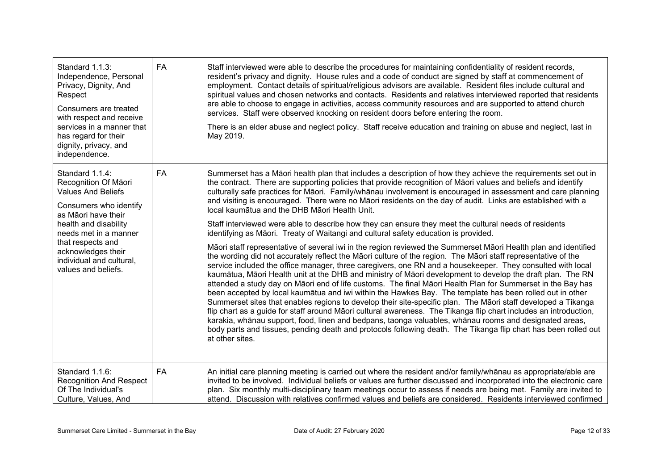| Standard 1.1.3:<br>Independence, Personal<br>Privacy, Dignity, And<br>Respect<br>Consumers are treated<br>with respect and receive<br>services in a manner that<br>has regard for their<br>dignity, privacy, and<br>independence.                                     | <b>FA</b> | Staff interviewed were able to describe the procedures for maintaining confidentiality of resident records,<br>resident's privacy and dignity. House rules and a code of conduct are signed by staff at commencement of<br>employment. Contact details of spiritual/religious advisors are available. Resident files include cultural and<br>spiritual values and chosen networks and contacts. Residents and relatives interviewed reported that residents<br>are able to choose to engage in activities, access community resources and are supported to attend church<br>services. Staff were observed knocking on resident doors before entering the room.<br>There is an elder abuse and neglect policy. Staff receive education and training on abuse and neglect, last in<br>May 2019.                                                                                                                                                                                                                                                                                                                                                                                                                                                                                                                                                                                                                                                                                                                                                                                                                                                                                                                                                                                                                                                                                                   |
|-----------------------------------------------------------------------------------------------------------------------------------------------------------------------------------------------------------------------------------------------------------------------|-----------|-------------------------------------------------------------------------------------------------------------------------------------------------------------------------------------------------------------------------------------------------------------------------------------------------------------------------------------------------------------------------------------------------------------------------------------------------------------------------------------------------------------------------------------------------------------------------------------------------------------------------------------------------------------------------------------------------------------------------------------------------------------------------------------------------------------------------------------------------------------------------------------------------------------------------------------------------------------------------------------------------------------------------------------------------------------------------------------------------------------------------------------------------------------------------------------------------------------------------------------------------------------------------------------------------------------------------------------------------------------------------------------------------------------------------------------------------------------------------------------------------------------------------------------------------------------------------------------------------------------------------------------------------------------------------------------------------------------------------------------------------------------------------------------------------------------------------------------------------------------------------------------------------|
| Standard 1.1.4:<br>Recognition Of Māori<br><b>Values And Beliefs</b><br>Consumers who identify<br>as Māori have their<br>health and disability<br>needs met in a manner<br>that respects and<br>acknowledges their<br>individual and cultural,<br>values and beliefs. | <b>FA</b> | Summerset has a Māori health plan that includes a description of how they achieve the requirements set out in<br>the contract. There are supporting policies that provide recognition of Māori values and beliefs and identify<br>culturally safe practices for Māori. Family/whānau involvement is encouraged in assessment and care planning<br>and visiting is encouraged. There were no Māori residents on the day of audit. Links are established with a<br>local kaumātua and the DHB Māori Health Unit.<br>Staff interviewed were able to describe how they can ensure they meet the cultural needs of residents<br>identifying as Māori. Treaty of Waitangi and cultural safety education is provided.<br>Māori staff representative of several iwi in the region reviewed the Summerset Māori Health plan and identified<br>the wording did not accurately reflect the Māori culture of the region. The Māori staff representative of the<br>service included the office manager, three caregivers, one RN and a housekeeper. They consulted with local<br>kaumātua, Māori Health unit at the DHB and ministry of Māori development to develop the draft plan. The RN<br>attended a study day on Māori end of life customs. The final Māori Health Plan for Summerset in the Bay has<br>been accepted by local kaumātua and iwi within the Hawkes Bay. The template has been rolled out in other<br>Summerset sites that enables regions to develop their site-specific plan. The Māori staff developed a Tikanga<br>flip chart as a guide for staff around Māori cultural awareness. The Tikanga flip chart includes an introduction,<br>karakia, whānau support, food, linen and bedpans, taonga valuables, whānau rooms and designated areas,<br>body parts and tissues, pending death and protocols following death. The Tikanga flip chart has been rolled out<br>at other sites. |
| Standard 1.1.6:<br><b>Recognition And Respect</b><br>Of The Individual's<br>Culture, Values, And                                                                                                                                                                      | FA        | An initial care planning meeting is carried out where the resident and/or family/whanau as appropriate/able are<br>invited to be involved. Individual beliefs or values are further discussed and incorporated into the electronic care<br>plan. Six monthly multi-disciplinary team meetings occur to assess if needs are being met. Family are invited to<br>attend. Discussion with relatives confirmed values and beliefs are considered. Residents interviewed confirmed                                                                                                                                                                                                                                                                                                                                                                                                                                                                                                                                                                                                                                                                                                                                                                                                                                                                                                                                                                                                                                                                                                                                                                                                                                                                                                                                                                                                                   |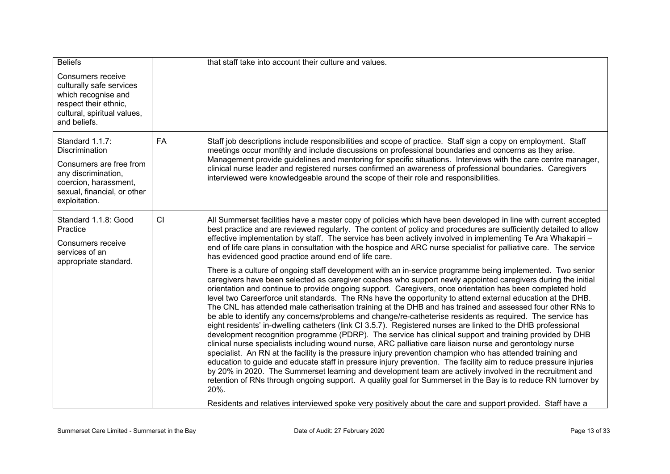| <b>Beliefs</b><br>Consumers receive<br>culturally safe services<br>which recognise and<br>respect their ethnic,<br>cultural, spiritual values,<br>and beliefs. |           | that staff take into account their culture and values.                                                                                                                                                                                                                                                                                                                                                                                                                                                                                                                                                                                                                                                                                                                                                                                                                                                                                                                                                                                                                                                                                                                                                                                                                                                                                                                                                                                                                                                                                                                                                                                                                                                                                                                                                                                                                                                                                                                                                                                                                                                                                                |
|----------------------------------------------------------------------------------------------------------------------------------------------------------------|-----------|-------------------------------------------------------------------------------------------------------------------------------------------------------------------------------------------------------------------------------------------------------------------------------------------------------------------------------------------------------------------------------------------------------------------------------------------------------------------------------------------------------------------------------------------------------------------------------------------------------------------------------------------------------------------------------------------------------------------------------------------------------------------------------------------------------------------------------------------------------------------------------------------------------------------------------------------------------------------------------------------------------------------------------------------------------------------------------------------------------------------------------------------------------------------------------------------------------------------------------------------------------------------------------------------------------------------------------------------------------------------------------------------------------------------------------------------------------------------------------------------------------------------------------------------------------------------------------------------------------------------------------------------------------------------------------------------------------------------------------------------------------------------------------------------------------------------------------------------------------------------------------------------------------------------------------------------------------------------------------------------------------------------------------------------------------------------------------------------------------------------------------------------------------|
| Standard 1.1.7:<br>Discrimination<br>Consumers are free from<br>any discrimination,<br>coercion, harassment,<br>sexual, financial, or other<br>exploitation.   | <b>FA</b> | Staff job descriptions include responsibilities and scope of practice. Staff sign a copy on employment. Staff<br>meetings occur monthly and include discussions on professional boundaries and concerns as they arise.<br>Management provide guidelines and mentoring for specific situations. Interviews with the care centre manager,<br>clinical nurse leader and registered nurses confirmed an awareness of professional boundaries. Caregivers<br>interviewed were knowledgeable around the scope of their role and responsibilities.                                                                                                                                                                                                                                                                                                                                                                                                                                                                                                                                                                                                                                                                                                                                                                                                                                                                                                                                                                                                                                                                                                                                                                                                                                                                                                                                                                                                                                                                                                                                                                                                           |
| Standard 1.1.8: Good<br>Practice<br>Consumers receive<br>services of an<br>appropriate standard.                                                               | CI        | All Summerset facilities have a master copy of policies which have been developed in line with current accepted<br>best practice and are reviewed regularly. The content of policy and procedures are sufficiently detailed to allow<br>effective implementation by staff. The service has been actively involved in implementing Te Ara Whakapiri -<br>end of life care plans in consultation with the hospice and ARC nurse specialist for palliative care. The service<br>has evidenced good practice around end of life care.<br>There is a culture of ongoing staff development with an in-service programme being implemented. Two senior<br>caregivers have been selected as caregiver coaches who support newly appointed caregivers during the initial<br>orientation and continue to provide ongoing support. Caregivers, once orientation has been completed hold<br>level two Careerforce unit standards. The RNs have the opportunity to attend external education at the DHB.<br>The CNL has attended male catherisation training at the DHB and has trained and assessed four other RNs to<br>be able to identify any concerns/problems and change/re-catheterise residents as required. The service has<br>eight residents' in-dwelling catheters (link CI 3.5.7). Registered nurses are linked to the DHB professional<br>development recognition programme (PDRP). The service has clinical support and training provided by DHB<br>clinical nurse specialists including wound nurse, ARC palliative care liaison nurse and gerontology nurse<br>specialist. An RN at the facility is the pressure injury prevention champion who has attended training and<br>education to guide and educate staff in pressure injury prevention. The facility aim to reduce pressure injuries<br>by 20% in 2020. The Summerset learning and development team are actively involved in the recruitment and<br>retention of RNs through ongoing support. A quality goal for Summerset in the Bay is to reduce RN turnover by<br>20%.<br>Residents and relatives interviewed spoke very positively about the care and support provided. Staff have a |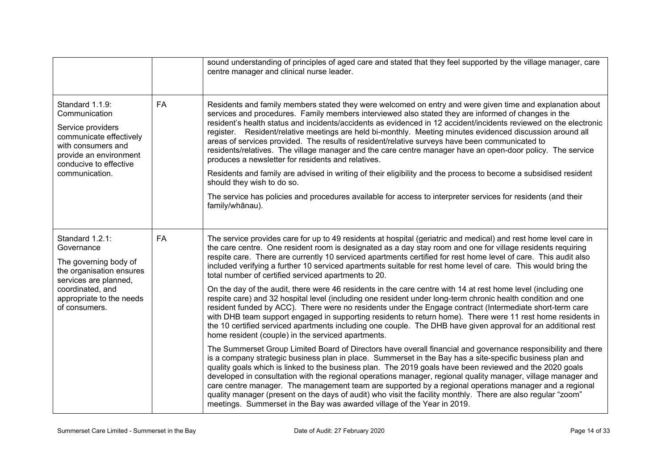|                                                                                                                                                                              |           | sound understanding of principles of aged care and stated that they feel supported by the village manager, care<br>centre manager and clinical nurse leader.                                                                                                                                                                                                                                                                                                                                                                                                                                                                                                                                                                                                 |
|------------------------------------------------------------------------------------------------------------------------------------------------------------------------------|-----------|--------------------------------------------------------------------------------------------------------------------------------------------------------------------------------------------------------------------------------------------------------------------------------------------------------------------------------------------------------------------------------------------------------------------------------------------------------------------------------------------------------------------------------------------------------------------------------------------------------------------------------------------------------------------------------------------------------------------------------------------------------------|
| Standard 1.1.9:<br>Communication<br>Service providers<br>communicate effectively<br>with consumers and<br>provide an environment<br>conducive to effective                   | <b>FA</b> | Residents and family members stated they were welcomed on entry and were given time and explanation about<br>services and procedures. Family members interviewed also stated they are informed of changes in the<br>resident's health status and incidents/accidents as evidenced in 12 accident/incidents reviewed on the electronic<br>register. Resident/relative meetings are held bi-monthly. Meeting minutes evidenced discussion around all<br>areas of services provided. The results of resident/relative surveys have been communicated to<br>residents/relatives. The village manager and the care centre manager have an open-door policy. The service<br>produces a newsletter for residents and relatives.                                     |
| communication.                                                                                                                                                               |           | Residents and family are advised in writing of their eligibility and the process to become a subsidised resident<br>should they wish to do so.                                                                                                                                                                                                                                                                                                                                                                                                                                                                                                                                                                                                               |
|                                                                                                                                                                              |           | The service has policies and procedures available for access to interpreter services for residents (and their<br>family/whānau).                                                                                                                                                                                                                                                                                                                                                                                                                                                                                                                                                                                                                             |
| Standard 1.2.1:<br>Governance<br>The governing body of<br>the organisation ensures<br>services are planned,<br>coordinated, and<br>appropriate to the needs<br>of consumers. | FA        | The service provides care for up to 49 residents at hospital (geriatric and medical) and rest home level care in<br>the care centre. One resident room is designated as a day stay room and one for village residents requiring<br>respite care. There are currently 10 serviced apartments certified for rest home level of care. This audit also<br>included verifying a further 10 serviced apartments suitable for rest home level of care. This would bring the<br>total number of certified serviced apartments to 20.                                                                                                                                                                                                                                 |
|                                                                                                                                                                              |           | On the day of the audit, there were 46 residents in the care centre with 14 at rest home level (including one<br>respite care) and 32 hospital level (including one resident under long-term chronic health condition and one<br>resident funded by ACC). There were no residents under the Engage contract (Intermediate short-term care<br>with DHB team support engaged in supporting residents to return home). There were 11 rest home residents in<br>the 10 certified serviced apartments including one couple. The DHB have given approval for an additional rest<br>home resident (couple) in the serviced apartments.                                                                                                                              |
|                                                                                                                                                                              |           | The Summerset Group Limited Board of Directors have overall financial and governance responsibility and there<br>is a company strategic business plan in place. Summerset in the Bay has a site-specific business plan and<br>quality goals which is linked to the business plan. The 2019 goals have been reviewed and the 2020 goals<br>developed in consultation with the regional operations manager, regional quality manager, village manager and<br>care centre manager. The management team are supported by a regional operations manager and a regional<br>quality manager (present on the days of audit) who visit the facility monthly. There are also regular "zoom"<br>meetings. Summerset in the Bay was awarded village of the Year in 2019. |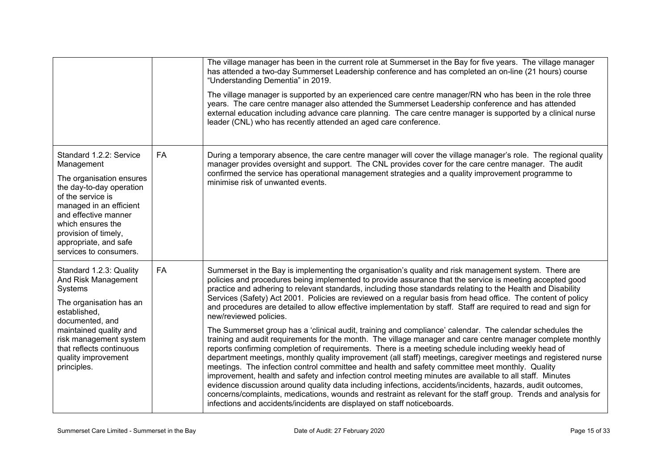|                                                                                                                                                                                                                                                                       |           | The village manager has been in the current role at Summerset in the Bay for five years. The village manager<br>has attended a two-day Summerset Leadership conference and has completed an on-line (21 hours) course<br>"Understanding Dementia" in 2019.<br>The village manager is supported by an experienced care centre manager/RN who has been in the role three<br>years. The care centre manager also attended the Summerset Leadership conference and has attended<br>external education including advance care planning. The care centre manager is supported by a clinical nurse<br>leader (CNL) who has recently attended an aged care conference.                                                                                                                                                                                                                                                                                                                                                                                                                                                                                                                                                                                                                                                                                                                                                                                                                                                                                                                 |
|-----------------------------------------------------------------------------------------------------------------------------------------------------------------------------------------------------------------------------------------------------------------------|-----------|--------------------------------------------------------------------------------------------------------------------------------------------------------------------------------------------------------------------------------------------------------------------------------------------------------------------------------------------------------------------------------------------------------------------------------------------------------------------------------------------------------------------------------------------------------------------------------------------------------------------------------------------------------------------------------------------------------------------------------------------------------------------------------------------------------------------------------------------------------------------------------------------------------------------------------------------------------------------------------------------------------------------------------------------------------------------------------------------------------------------------------------------------------------------------------------------------------------------------------------------------------------------------------------------------------------------------------------------------------------------------------------------------------------------------------------------------------------------------------------------------------------------------------------------------------------------------------|
| Standard 1.2.2: Service<br>Management<br>The organisation ensures<br>the day-to-day operation<br>of the service is<br>managed in an efficient<br>and effective manner<br>which ensures the<br>provision of timely,<br>appropriate, and safe<br>services to consumers. | <b>FA</b> | During a temporary absence, the care centre manager will cover the village manager's role. The regional quality<br>manager provides oversight and support. The CNL provides cover for the care centre manager. The audit<br>confirmed the service has operational management strategies and a quality improvement programme to<br>minimise risk of unwanted events.                                                                                                                                                                                                                                                                                                                                                                                                                                                                                                                                                                                                                                                                                                                                                                                                                                                                                                                                                                                                                                                                                                                                                                                                            |
| Standard 1.2.3: Quality<br>And Risk Management<br>Systems<br>The organisation has an<br>established,<br>documented, and<br>maintained quality and<br>risk management system<br>that reflects continuous<br>quality improvement<br>principles.                         | <b>FA</b> | Summerset in the Bay is implementing the organisation's quality and risk management system. There are<br>policies and procedures being implemented to provide assurance that the service is meeting accepted good<br>practice and adhering to relevant standards, including those standards relating to the Health and Disability<br>Services (Safety) Act 2001. Policies are reviewed on a regular basis from head office. The content of policy<br>and procedures are detailed to allow effective implementation by staff. Staff are required to read and sign for<br>new/reviewed policies.<br>The Summerset group has a 'clinical audit, training and compliance' calendar. The calendar schedules the<br>training and audit requirements for the month. The village manager and care centre manager complete monthly<br>reports confirming completion of requirements. There is a meeting schedule including weekly head of<br>department meetings, monthly quality improvement (all staff) meetings, caregiver meetings and registered nurse<br>meetings. The infection control committee and health and safety committee meet monthly. Quality<br>improvement, health and safety and infection control meeting minutes are available to all staff. Minutes<br>evidence discussion around quality data including infections, accidents/incidents, hazards, audit outcomes,<br>concerns/complaints, medications, wounds and restraint as relevant for the staff group. Trends and analysis for<br>infections and accidents/incidents are displayed on staff noticeboards. |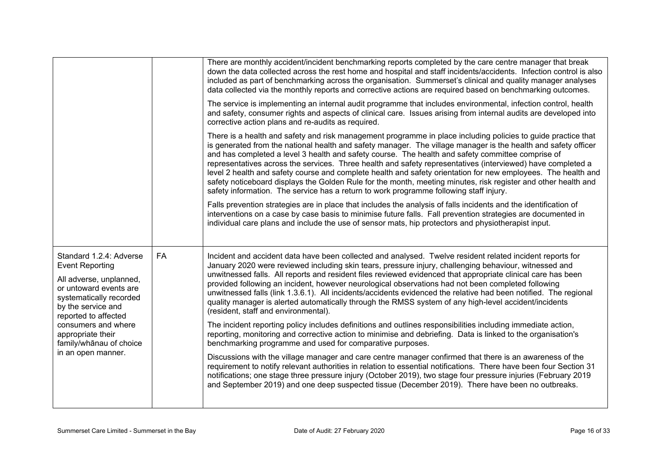|                                                                                                                                                                                                                                                                              |    | There are monthly accident/incident benchmarking reports completed by the care centre manager that break<br>down the data collected across the rest home and hospital and staff incidents/accidents. Infection control is also<br>included as part of benchmarking across the organisation. Summerset's clinical and quality manager analyses<br>data collected via the monthly reports and corrective actions are required based on benchmarking outcomes.                                                                                                                                                                                                                                                                                                                      |
|------------------------------------------------------------------------------------------------------------------------------------------------------------------------------------------------------------------------------------------------------------------------------|----|----------------------------------------------------------------------------------------------------------------------------------------------------------------------------------------------------------------------------------------------------------------------------------------------------------------------------------------------------------------------------------------------------------------------------------------------------------------------------------------------------------------------------------------------------------------------------------------------------------------------------------------------------------------------------------------------------------------------------------------------------------------------------------|
|                                                                                                                                                                                                                                                                              |    | The service is implementing an internal audit programme that includes environmental, infection control, health<br>and safety, consumer rights and aspects of clinical care. Issues arising from internal audits are developed into<br>corrective action plans and re-audits as required.                                                                                                                                                                                                                                                                                                                                                                                                                                                                                         |
|                                                                                                                                                                                                                                                                              |    | There is a health and safety and risk management programme in place including policies to guide practice that<br>is generated from the national health and safety manager. The village manager is the health and safety officer<br>and has completed a level 3 health and safety course. The health and safety committee comprise of<br>representatives across the services. Three health and safety representatives (interviewed) have completed a<br>level 2 health and safety course and complete health and safety orientation for new employees. The health and<br>safety noticeboard displays the Golden Rule for the month, meeting minutes, risk register and other health and<br>safety information. The service has a return to work programme following staff injury. |
|                                                                                                                                                                                                                                                                              |    | Falls prevention strategies are in place that includes the analysis of falls incidents and the identification of<br>interventions on a case by case basis to minimise future falls. Fall prevention strategies are documented in<br>individual care plans and include the use of sensor mats, hip protectors and physiotherapist input.                                                                                                                                                                                                                                                                                                                                                                                                                                          |
| Standard 1.2.4: Adverse<br><b>Event Reporting</b><br>All adverse, unplanned,<br>or untoward events are<br>systematically recorded<br>by the service and<br>reported to affected<br>consumers and where<br>appropriate their<br>family/whānau of choice<br>in an open manner. | FA | Incident and accident data have been collected and analysed. Twelve resident related incident reports for<br>January 2020 were reviewed including skin tears, pressure injury, challenging behaviour, witnessed and<br>unwitnessed falls. All reports and resident files reviewed evidenced that appropriate clinical care has been<br>provided following an incident, however neurological observations had not been completed following<br>unwitnessed falls (link 1.3.6.1). All incidents/accidents evidenced the relative had been notified. The regional<br>quality manager is alerted automatically through the RMSS system of any high-level accident/incidents<br>(resident, staff and environmental).                                                                   |
|                                                                                                                                                                                                                                                                              |    | The incident reporting policy includes definitions and outlines responsibilities including immediate action,<br>reporting, monitoring and corrective action to minimise and debriefing. Data is linked to the organisation's<br>benchmarking programme and used for comparative purposes.                                                                                                                                                                                                                                                                                                                                                                                                                                                                                        |
|                                                                                                                                                                                                                                                                              |    | Discussions with the village manager and care centre manager confirmed that there is an awareness of the<br>requirement to notify relevant authorities in relation to essential notifications. There have been four Section 31<br>notifications; one stage three pressure injury (October 2019), two stage four pressure injuries (February 2019<br>and September 2019) and one deep suspected tissue (December 2019). There have been no outbreaks.                                                                                                                                                                                                                                                                                                                             |
|                                                                                                                                                                                                                                                                              |    |                                                                                                                                                                                                                                                                                                                                                                                                                                                                                                                                                                                                                                                                                                                                                                                  |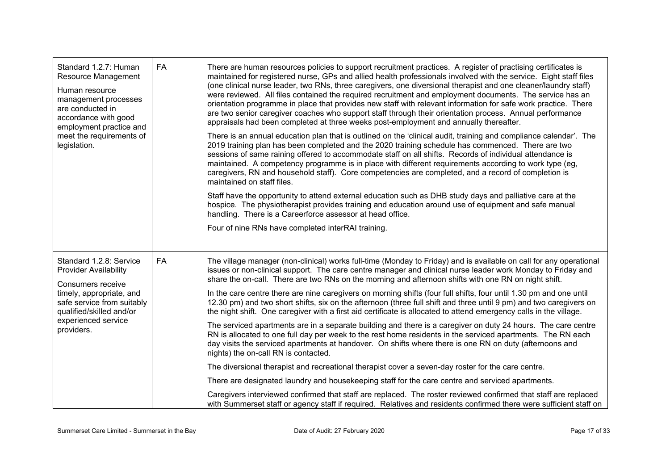| Standard 1.2.7: Human<br>Resource Management<br>Human resource<br>management processes<br>are conducted in<br>accordance with good<br>employment practice and<br>meet the requirements of<br>legislation. | FA        | There are human resources policies to support recruitment practices. A register of practising certificates is<br>maintained for registered nurse, GPs and allied health professionals involved with the service. Eight staff files<br>(one clinical nurse leader, two RNs, three caregivers, one diversional therapist and one cleaner/laundry staff)<br>were reviewed. All files contained the required recruitment and employment documents. The service has an<br>orientation programme in place that provides new staff with relevant information for safe work practice. There<br>are two senior caregiver coaches who support staff through their orientation process. Annual performance<br>appraisals had been completed at three weeks post-employment and annually thereafter.<br>There is an annual education plan that is outlined on the 'clinical audit, training and compliance calendar'. The<br>2019 training plan has been completed and the 2020 training schedule has commenced. There are two<br>sessions of same raining offered to accommodate staff on all shifts. Records of individual attendance is<br>maintained. A competency programme is in place with different requirements according to work type (eg,<br>caregivers, RN and household staff). Core competencies are completed, and a record of completion is<br>maintained on staff files.<br>Staff have the opportunity to attend external education such as DHB study days and palliative care at the<br>hospice. The physiotherapist provides training and education around use of equipment and safe manual<br>handling. There is a Careerforce assessor at head office.<br>Four of nine RNs have completed interRAI training. |
|-----------------------------------------------------------------------------------------------------------------------------------------------------------------------------------------------------------|-----------|-----------------------------------------------------------------------------------------------------------------------------------------------------------------------------------------------------------------------------------------------------------------------------------------------------------------------------------------------------------------------------------------------------------------------------------------------------------------------------------------------------------------------------------------------------------------------------------------------------------------------------------------------------------------------------------------------------------------------------------------------------------------------------------------------------------------------------------------------------------------------------------------------------------------------------------------------------------------------------------------------------------------------------------------------------------------------------------------------------------------------------------------------------------------------------------------------------------------------------------------------------------------------------------------------------------------------------------------------------------------------------------------------------------------------------------------------------------------------------------------------------------------------------------------------------------------------------------------------------------------------------------------------------------------------------------------------------------------------|
| Standard 1.2.8: Service<br><b>Provider Availability</b><br>Consumers receive<br>timely, appropriate, and<br>safe service from suitably<br>qualified/skilled and/or<br>experienced service<br>providers.   | <b>FA</b> | The village manager (non-clinical) works full-time (Monday to Friday) and is available on call for any operational<br>issues or non-clinical support. The care centre manager and clinical nurse leader work Monday to Friday and<br>share the on-call. There are two RNs on the morning and afternoon shifts with one RN on night shift.<br>In the care centre there are nine caregivers on morning shifts (four full shifts, four until 1.30 pm and one until<br>12.30 pm) and two short shifts, six on the afternoon (three full shift and three until 9 pm) and two caregivers on<br>the night shift. One caregiver with a first aid certificate is allocated to attend emergency calls in the village.<br>The serviced apartments are in a separate building and there is a caregiver on duty 24 hours. The care centre<br>RN is allocated to one full day per week to the rest home residents in the serviced apartments. The RN each<br>day visits the serviced apartments at handover. On shifts where there is one RN on duty (afternoons and<br>nights) the on-call RN is contacted.<br>The diversional therapist and recreational therapist cover a seven-day roster for the care centre.<br>There are designated laundry and housekeeping staff for the care centre and serviced apartments.<br>Caregivers interviewed confirmed that staff are replaced. The roster reviewed confirmed that staff are replaced<br>with Summerset staff or agency staff if required. Relatives and residents confirmed there were sufficient staff on                                                                                                                                                                     |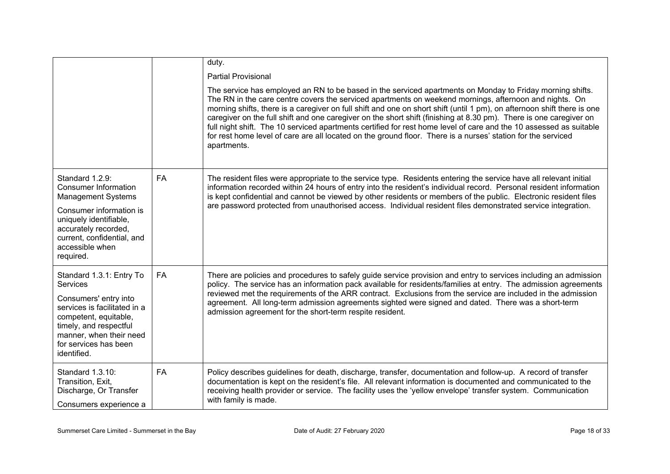|                                                                                                                                                                             |           | duty.                                                                                                                                                                                                                                                                                                                                                                                                                                                                                                                                                                                                                                                                                                                     |
|-----------------------------------------------------------------------------------------------------------------------------------------------------------------------------|-----------|---------------------------------------------------------------------------------------------------------------------------------------------------------------------------------------------------------------------------------------------------------------------------------------------------------------------------------------------------------------------------------------------------------------------------------------------------------------------------------------------------------------------------------------------------------------------------------------------------------------------------------------------------------------------------------------------------------------------------|
|                                                                                                                                                                             |           | <b>Partial Provisional</b>                                                                                                                                                                                                                                                                                                                                                                                                                                                                                                                                                                                                                                                                                                |
|                                                                                                                                                                             |           | The service has employed an RN to be based in the serviced apartments on Monday to Friday morning shifts.<br>The RN in the care centre covers the serviced apartments on weekend mornings, afternoon and nights. On<br>morning shifts, there is a caregiver on full shift and one on short shift (until 1 pm), on afternoon shift there is one<br>caregiver on the full shift and one caregiver on the short shift (finishing at 8.30 pm). There is one caregiver on<br>full night shift. The 10 serviced apartments certified for rest home level of care and the 10 assessed as suitable<br>for rest home level of care are all located on the ground floor. There is a nurses' station for the serviced<br>apartments. |
| Standard 1.2.9:<br>Consumer Information<br><b>Management Systems</b>                                                                                                        | <b>FA</b> | The resident files were appropriate to the service type. Residents entering the service have all relevant initial<br>information recorded within 24 hours of entry into the resident's individual record. Personal resident information<br>is kept confidential and cannot be viewed by other residents or members of the public. Electronic resident files                                                                                                                                                                                                                                                                                                                                                               |
| Consumer information is<br>uniquely identifiable,<br>accurately recorded,<br>current, confidential, and<br>accessible when<br>required.                                     |           | are password protected from unauthorised access. Individual resident files demonstrated service integration.                                                                                                                                                                                                                                                                                                                                                                                                                                                                                                                                                                                                              |
| Standard 1.3.1: Entry To<br>Services                                                                                                                                        | FA        | There are policies and procedures to safely guide service provision and entry to services including an admission<br>policy. The service has an information pack available for residents/families at entry. The admission agreements                                                                                                                                                                                                                                                                                                                                                                                                                                                                                       |
| Consumers' entry into<br>services is facilitated in a<br>competent, equitable,<br>timely, and respectful<br>manner, when their need<br>for services has been<br>identified. |           | reviewed met the requirements of the ARR contract. Exclusions from the service are included in the admission<br>agreement. All long-term admission agreements sighted were signed and dated. There was a short-term<br>admission agreement for the short-term respite resident.                                                                                                                                                                                                                                                                                                                                                                                                                                           |
| Standard 1.3.10:<br>Transition, Exit,<br>Discharge, Or Transfer<br>Consumers experience a                                                                                   | FA        | Policy describes guidelines for death, discharge, transfer, documentation and follow-up. A record of transfer<br>documentation is kept on the resident's file. All relevant information is documented and communicated to the<br>receiving health provider or service. The facility uses the 'yellow envelope' transfer system. Communication<br>with family is made.                                                                                                                                                                                                                                                                                                                                                     |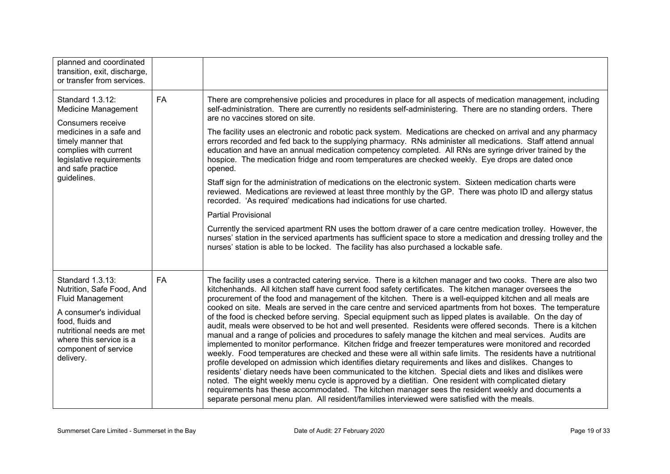| planned and coordinated<br>transition, exit, discharge,<br>or transfer from services.                                                                                                                                |           |                                                                                                                                                                                                                                                                                                                                                                                                                                                                                                                                                                                                                                                                                                                                                                                                                                                                                                                                                                                                                                                                                                                                                                                                                                                                                                                                                                                                                                                                                                                                                                 |
|----------------------------------------------------------------------------------------------------------------------------------------------------------------------------------------------------------------------|-----------|-----------------------------------------------------------------------------------------------------------------------------------------------------------------------------------------------------------------------------------------------------------------------------------------------------------------------------------------------------------------------------------------------------------------------------------------------------------------------------------------------------------------------------------------------------------------------------------------------------------------------------------------------------------------------------------------------------------------------------------------------------------------------------------------------------------------------------------------------------------------------------------------------------------------------------------------------------------------------------------------------------------------------------------------------------------------------------------------------------------------------------------------------------------------------------------------------------------------------------------------------------------------------------------------------------------------------------------------------------------------------------------------------------------------------------------------------------------------------------------------------------------------------------------------------------------------|
| Standard 1.3.12:<br>Medicine Management<br>Consumers receive<br>medicines in a safe and<br>timely manner that<br>complies with current<br>legislative requirements<br>and safe practice<br>guidelines.               | <b>FA</b> | There are comprehensive policies and procedures in place for all aspects of medication management, including<br>self-administration. There are currently no residents self-administering. There are no standing orders. There<br>are no vaccines stored on site.<br>The facility uses an electronic and robotic pack system. Medications are checked on arrival and any pharmacy<br>errors recorded and fed back to the supplying pharmacy. RNs administer all medications. Staff attend annual<br>education and have an annual medication competency completed. All RNs are syringe driver trained by the<br>hospice. The medication fridge and room temperatures are checked weekly. Eye drops are dated once<br>opened.<br>Staff sign for the administration of medications on the electronic system. Sixteen medication charts were<br>reviewed. Medications are reviewed at least three monthly by the GP. There was photo ID and allergy status<br>recorded. 'As required' medications had indications for use charted.<br><b>Partial Provisional</b><br>Currently the serviced apartment RN uses the bottom drawer of a care centre medication trolley. However, the<br>nurses' station in the serviced apartments has sufficient space to store a medication and dressing trolley and the<br>nurses' station is able to be locked. The facility has also purchased a lockable safe.                                                                                                                                                                     |
| Standard 1.3.13:<br>Nutrition, Safe Food, And<br><b>Fluid Management</b><br>A consumer's individual<br>food, fluids and<br>nutritional needs are met<br>where this service is a<br>component of service<br>delivery. | <b>FA</b> | The facility uses a contracted catering service. There is a kitchen manager and two cooks. There are also two<br>kitchenhands. All kitchen staff have current food safety certificates. The kitchen manager oversees the<br>procurement of the food and management of the kitchen. There is a well-equipped kitchen and all meals are<br>cooked on site. Meals are served in the care centre and serviced apartments from hot boxes. The temperature<br>of the food is checked before serving. Special equipment such as lipped plates is available. On the day of<br>audit, meals were observed to be hot and well presented. Residents were offered seconds. There is a kitchen<br>manual and a range of policies and procedures to safely manage the kitchen and meal services. Audits are<br>implemented to monitor performance. Kitchen fridge and freezer temperatures were monitored and recorded<br>weekly. Food temperatures are checked and these were all within safe limits. The residents have a nutritional<br>profile developed on admission which identifies dietary requirements and likes and dislikes. Changes to<br>residents' dietary needs have been communicated to the kitchen. Special diets and likes and dislikes were<br>noted. The eight weekly menu cycle is approved by a dietitian. One resident with complicated dietary<br>requirements has these accommodated. The kitchen manager sees the resident weekly and documents a<br>separate personal menu plan. All resident/families interviewed were satisfied with the meals. |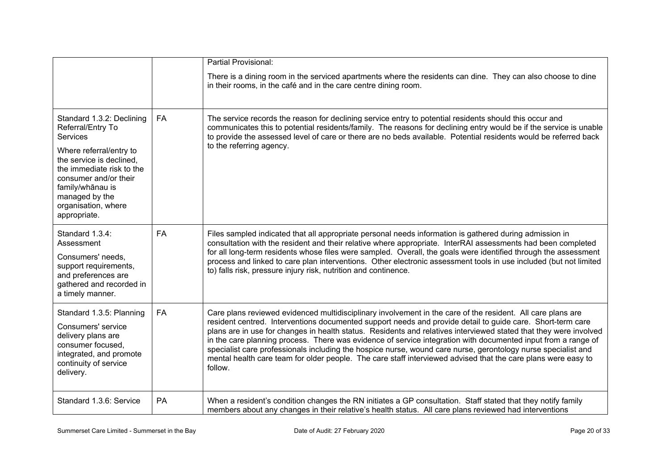|                                                                                                                                                                                                                                                      |    | Partial Provisional:                                                                                                                                                                                                                                                                                                                                                                                                                                                                                                                                                                                                                                                                                         |
|------------------------------------------------------------------------------------------------------------------------------------------------------------------------------------------------------------------------------------------------------|----|--------------------------------------------------------------------------------------------------------------------------------------------------------------------------------------------------------------------------------------------------------------------------------------------------------------------------------------------------------------------------------------------------------------------------------------------------------------------------------------------------------------------------------------------------------------------------------------------------------------------------------------------------------------------------------------------------------------|
|                                                                                                                                                                                                                                                      |    | There is a dining room in the serviced apartments where the residents can dine. They can also choose to dine<br>in their rooms, in the café and in the care centre dining room.                                                                                                                                                                                                                                                                                                                                                                                                                                                                                                                              |
| Standard 1.3.2: Declining<br>Referral/Entry To<br>Services<br>Where referral/entry to<br>the service is declined.<br>the immediate risk to the<br>consumer and/or their<br>family/whānau is<br>managed by the<br>organisation, where<br>appropriate. | FA | The service records the reason for declining service entry to potential residents should this occur and<br>communicates this to potential residents/family. The reasons for declining entry would be if the service is unable<br>to provide the assessed level of care or there are no beds available. Potential residents would be referred back<br>to the referring agency.                                                                                                                                                                                                                                                                                                                                |
| Standard 1.3.4:<br>Assessment<br>Consumers' needs,<br>support requirements,<br>and preferences are<br>gathered and recorded in<br>a timely manner.                                                                                                   | FA | Files sampled indicated that all appropriate personal needs information is gathered during admission in<br>consultation with the resident and their relative where appropriate. InterRAI assessments had been completed<br>for all long-term residents whose files were sampled. Overall, the goals were identified through the assessment<br>process and linked to care plan interventions. Other electronic assessment tools in use included (but not limited<br>to) falls risk, pressure injury risk, nutrition and continence.                                                                                                                                                                           |
| Standard 1.3.5: Planning<br>Consumers' service<br>delivery plans are<br>consumer focused,<br>integrated, and promote<br>continuity of service<br>delivery.                                                                                           | FA | Care plans reviewed evidenced multidisciplinary involvement in the care of the resident. All care plans are<br>resident centred. Interventions documented support needs and provide detail to guide care. Short-term care<br>plans are in use for changes in health status. Residents and relatives interviewed stated that they were involved<br>in the care planning process. There was evidence of service integration with documented input from a range of<br>specialist care professionals including the hospice nurse, wound care nurse, gerontology nurse specialist and<br>mental health care team for older people. The care staff interviewed advised that the care plans were easy to<br>follow. |
| Standard 1.3.6: Service                                                                                                                                                                                                                              | PA | When a resident's condition changes the RN initiates a GP consultation. Staff stated that they notify family<br>members about any changes in their relative's health status. All care plans reviewed had interventions                                                                                                                                                                                                                                                                                                                                                                                                                                                                                       |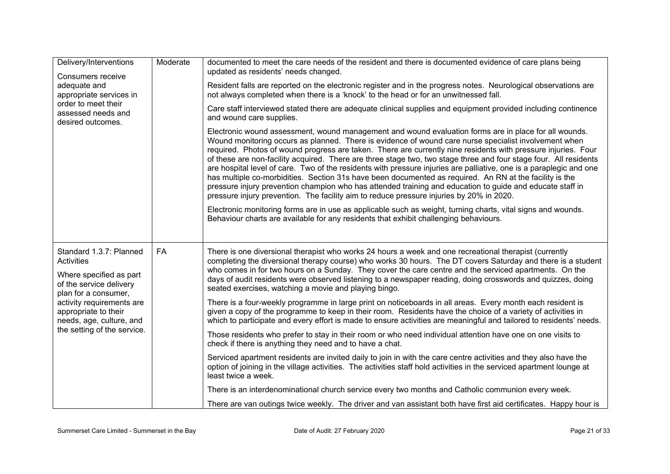| Delivery/Interventions<br>Consumers receive<br>adequate and<br>appropriate services in<br>order to meet their<br>assessed needs and<br>desired outcomes.                                                                                   | Moderate | documented to meet the care needs of the resident and there is documented evidence of care plans being<br>updated as residents' needs changed.<br>Resident falls are reported on the electronic register and in the progress notes. Neurological observations are<br>not always completed when there is a 'knock' to the head or for an unwitnessed fall.<br>Care staff interviewed stated there are adequate clinical supplies and equipment provided including continence<br>and wound care supplies.<br>Electronic wound assessment, wound management and wound evaluation forms are in place for all wounds.<br>Wound monitoring occurs as planned. There is evidence of wound care nurse specialist involvement when<br>required. Photos of wound progress are taken. There are currently nine residents with pressure injuries. Four |
|--------------------------------------------------------------------------------------------------------------------------------------------------------------------------------------------------------------------------------------------|----------|--------------------------------------------------------------------------------------------------------------------------------------------------------------------------------------------------------------------------------------------------------------------------------------------------------------------------------------------------------------------------------------------------------------------------------------------------------------------------------------------------------------------------------------------------------------------------------------------------------------------------------------------------------------------------------------------------------------------------------------------------------------------------------------------------------------------------------------------|
|                                                                                                                                                                                                                                            |          | of these are non-facility acquired. There are three stage two, two stage three and four stage four. All residents<br>are hospital level of care. Two of the residents with pressure injuries are palliative, one is a paraplegic and one<br>has multiple co-morbidities. Section 31s have been documented as required. An RN at the facility is the<br>pressure injury prevention champion who has attended training and education to guide and educate staff in<br>pressure injury prevention. The facility aim to reduce pressure injuries by 20% in 2020.<br>Electronic monitoring forms are in use as applicable such as weight, turning charts, vital signs and wounds.                                                                                                                                                               |
|                                                                                                                                                                                                                                            |          | Behaviour charts are available for any residents that exhibit challenging behaviours.                                                                                                                                                                                                                                                                                                                                                                                                                                                                                                                                                                                                                                                                                                                                                      |
| Standard 1.3.7: Planned<br><b>Activities</b><br>Where specified as part<br>of the service delivery<br>plan for a consumer,<br>activity requirements are<br>appropriate to their<br>needs, age, culture, and<br>the setting of the service. | FA       | There is one diversional therapist who works 24 hours a week and one recreational therapist (currently<br>completing the diversional therapy course) who works 30 hours. The DT covers Saturday and there is a student<br>who comes in for two hours on a Sunday. They cover the care centre and the serviced apartments. On the<br>days of audit residents were observed listening to a newspaper reading, doing crosswords and quizzes, doing<br>seated exercises, watching a movie and playing bingo.                                                                                                                                                                                                                                                                                                                                   |
|                                                                                                                                                                                                                                            |          | There is a four-weekly programme in large print on noticeboards in all areas. Every month each resident is<br>given a copy of the programme to keep in their room. Residents have the choice of a variety of activities in<br>which to participate and every effort is made to ensure activities are meaningful and tailored to residents' needs.                                                                                                                                                                                                                                                                                                                                                                                                                                                                                          |
|                                                                                                                                                                                                                                            |          | Those residents who prefer to stay in their room or who need individual attention have one on one visits to<br>check if there is anything they need and to have a chat.                                                                                                                                                                                                                                                                                                                                                                                                                                                                                                                                                                                                                                                                    |
|                                                                                                                                                                                                                                            |          | Serviced apartment residents are invited daily to join in with the care centre activities and they also have the<br>option of joining in the village activities. The activities staff hold activities in the serviced apartment lounge at<br>least twice a week.                                                                                                                                                                                                                                                                                                                                                                                                                                                                                                                                                                           |
|                                                                                                                                                                                                                                            |          | There is an interdenominational church service every two months and Catholic communion every week.                                                                                                                                                                                                                                                                                                                                                                                                                                                                                                                                                                                                                                                                                                                                         |
|                                                                                                                                                                                                                                            |          | There are van outings twice weekly. The driver and van assistant both have first aid certificates. Happy hour is                                                                                                                                                                                                                                                                                                                                                                                                                                                                                                                                                                                                                                                                                                                           |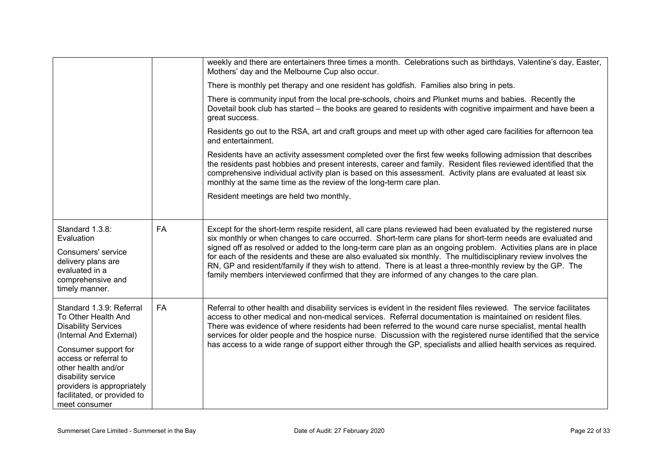|                                                                                                                                                                                                                                                                                      |           | weekly and there are entertainers three times a month. Celebrations such as birthdays, Valentine's day, Easter,<br>Mothers' day and the Melbourne Cup also occur.<br>There is monthly pet therapy and one resident has goldfish. Families also bring in pets.<br>There is community input from the local pre-schools, choirs and Plunket mums and babies. Recently the<br>Dovetail book club has started – the books are geared to residents with cognitive impairment and have been a<br>great success.<br>Residents go out to the RSA, art and craft groups and meet up with other aged care facilities for afternoon tea<br>and entertainment.<br>Residents have an activity assessment completed over the first few weeks following admission that describes<br>the residents past hobbies and present interests, career and family. Resident files reviewed identified that the<br>comprehensive individual activity plan is based on this assessment. Activity plans are evaluated at least six<br>monthly at the same time as the review of the long-term care plan.<br>Resident meetings are held two monthly. |
|--------------------------------------------------------------------------------------------------------------------------------------------------------------------------------------------------------------------------------------------------------------------------------------|-----------|------------------------------------------------------------------------------------------------------------------------------------------------------------------------------------------------------------------------------------------------------------------------------------------------------------------------------------------------------------------------------------------------------------------------------------------------------------------------------------------------------------------------------------------------------------------------------------------------------------------------------------------------------------------------------------------------------------------------------------------------------------------------------------------------------------------------------------------------------------------------------------------------------------------------------------------------------------------------------------------------------------------------------------------------------------------------------------------------------------------------|
| Standard 1.3.8:<br>Evaluation<br>Consumers' service<br>delivery plans are<br>evaluated in a<br>comprehensive and<br>timely manner.                                                                                                                                                   | FA        | Except for the short-term respite resident, all care plans reviewed had been evaluated by the registered nurse<br>six monthly or when changes to care occurred. Short-term care plans for short-term needs are evaluated and<br>signed off as resolved or added to the long-term care plan as an ongoing problem. Activities plans are in place<br>for each of the residents and these are also evaluated six monthly. The multidisciplinary review involves the<br>RN, GP and resident/family if they wish to attend. There is at least a three-monthly review by the GP. The<br>family members interviewed confirmed that they are informed of any changes to the care plan.                                                                                                                                                                                                                                                                                                                                                                                                                                         |
| Standard 1.3.9: Referral<br>To Other Health And<br><b>Disability Services</b><br>(Internal And External)<br>Consumer support for<br>access or referral to<br>other health and/or<br>disability service<br>providers is appropriately<br>facilitated, or provided to<br>meet consumer | <b>FA</b> | Referral to other health and disability services is evident in the resident files reviewed. The service facilitates<br>access to other medical and non-medical services. Referral documentation is maintained on resident files.<br>There was evidence of where residents had been referred to the wound care nurse specialist, mental health<br>services for older people and the hospice nurse. Discussion with the registered nurse identified that the service<br>has access to a wide range of support either through the GP, specialists and allied health services as required.                                                                                                                                                                                                                                                                                                                                                                                                                                                                                                                                 |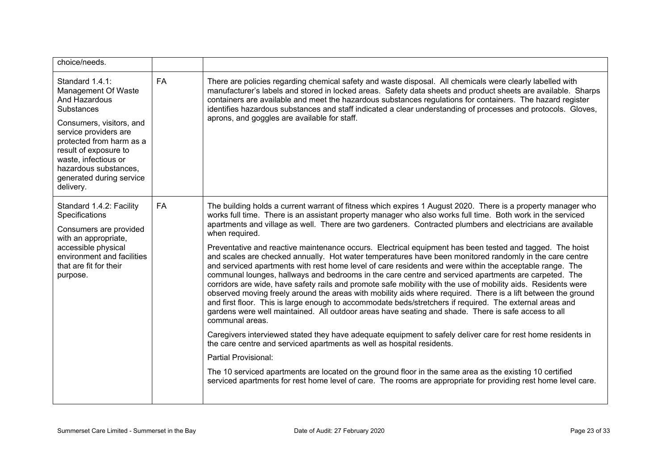| choice/needs.                                                                                                                                                                                                                                                                    |           |                                                                                                                                                                                                                                                                                                                                                                                                                                                                                                                                                                                                                                                                                                                                                                                                                                                                                                                                                                                                                                                                                                                                                                                                                                                                                                                                                                                                                                                                                                                                                                                                                                                                                                                                 |
|----------------------------------------------------------------------------------------------------------------------------------------------------------------------------------------------------------------------------------------------------------------------------------|-----------|---------------------------------------------------------------------------------------------------------------------------------------------------------------------------------------------------------------------------------------------------------------------------------------------------------------------------------------------------------------------------------------------------------------------------------------------------------------------------------------------------------------------------------------------------------------------------------------------------------------------------------------------------------------------------------------------------------------------------------------------------------------------------------------------------------------------------------------------------------------------------------------------------------------------------------------------------------------------------------------------------------------------------------------------------------------------------------------------------------------------------------------------------------------------------------------------------------------------------------------------------------------------------------------------------------------------------------------------------------------------------------------------------------------------------------------------------------------------------------------------------------------------------------------------------------------------------------------------------------------------------------------------------------------------------------------------------------------------------------|
| Standard 1.4.1:<br>Management Of Waste<br>And Hazardous<br><b>Substances</b><br>Consumers, visitors, and<br>service providers are<br>protected from harm as a<br>result of exposure to<br>waste, infectious or<br>hazardous substances,<br>generated during service<br>delivery. | <b>FA</b> | There are policies regarding chemical safety and waste disposal. All chemicals were clearly labelled with<br>manufacturer's labels and stored in locked areas. Safety data sheets and product sheets are available. Sharps<br>containers are available and meet the hazardous substances regulations for containers. The hazard register<br>identifies hazardous substances and staff indicated a clear understanding of processes and protocols. Gloves,<br>aprons, and goggles are available for staff.                                                                                                                                                                                                                                                                                                                                                                                                                                                                                                                                                                                                                                                                                                                                                                                                                                                                                                                                                                                                                                                                                                                                                                                                                       |
| Standard 1.4.2: Facility<br>Specifications<br>Consumers are provided<br>with an appropriate,<br>accessible physical<br>environment and facilities<br>that are fit for their<br>purpose.                                                                                          | <b>FA</b> | The building holds a current warrant of fitness which expires 1 August 2020. There is a property manager who<br>works full time. There is an assistant property manager who also works full time. Both work in the serviced<br>apartments and village as well. There are two gardeners. Contracted plumbers and electricians are available<br>when required.<br>Preventative and reactive maintenance occurs. Electrical equipment has been tested and tagged. The hoist<br>and scales are checked annually. Hot water temperatures have been monitored randomly in the care centre<br>and serviced apartments with rest home level of care residents and were within the acceptable range. The<br>communal lounges, hallways and bedrooms in the care centre and serviced apartments are carpeted. The<br>corridors are wide, have safety rails and promote safe mobility with the use of mobility aids. Residents were<br>observed moving freely around the areas with mobility aids where required. There is a lift between the ground<br>and first floor. This is large enough to accommodate beds/stretchers if required. The external areas and<br>gardens were well maintained. All outdoor areas have seating and shade. There is safe access to all<br>communal areas.<br>Caregivers interviewed stated they have adequate equipment to safely deliver care for rest home residents in<br>the care centre and serviced apartments as well as hospital residents.<br>Partial Provisional:<br>The 10 serviced apartments are located on the ground floor in the same area as the existing 10 certified<br>serviced apartments for rest home level of care. The rooms are appropriate for providing rest home level care. |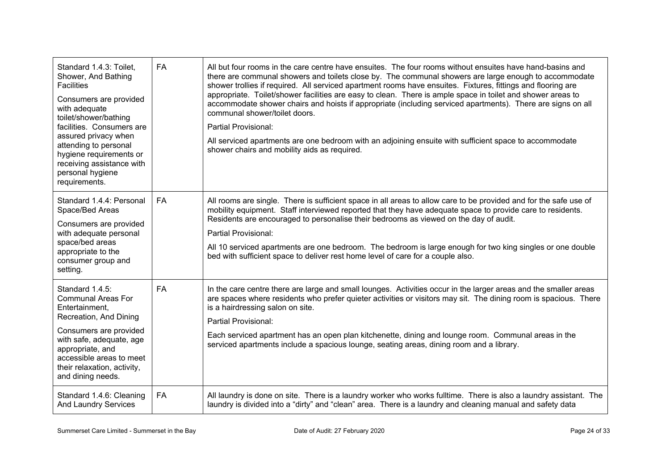| Standard 1.4.3: Toilet,<br>Shower, And Bathing<br><b>Facilities</b><br>Consumers are provided<br>with adequate<br>toilet/shower/bathing<br>facilities. Consumers are<br>assured privacy when<br>attending to personal<br>hygiene requirements or<br>receiving assistance with<br>personal hygiene<br>requirements. | <b>FA</b> | All but four rooms in the care centre have ensuites. The four rooms without ensuites have hand-basins and<br>there are communal showers and toilets close by. The communal showers are large enough to accommodate<br>shower trollies if required. All serviced apartment rooms have ensuites. Fixtures, fittings and flooring are<br>appropriate. Toilet/shower facilities are easy to clean. There is ample space in toilet and shower areas to<br>accommodate shower chairs and hoists if appropriate (including serviced apartments). There are signs on all<br>communal shower/toilet doors.<br>Partial Provisional:<br>All serviced apartments are one bedroom with an adjoining ensuite with sufficient space to accommodate<br>shower chairs and mobility aids as required. |
|--------------------------------------------------------------------------------------------------------------------------------------------------------------------------------------------------------------------------------------------------------------------------------------------------------------------|-----------|-------------------------------------------------------------------------------------------------------------------------------------------------------------------------------------------------------------------------------------------------------------------------------------------------------------------------------------------------------------------------------------------------------------------------------------------------------------------------------------------------------------------------------------------------------------------------------------------------------------------------------------------------------------------------------------------------------------------------------------------------------------------------------------|
| Standard 1.4.4: Personal<br>Space/Bed Areas<br>Consumers are provided<br>with adequate personal<br>space/bed areas<br>appropriate to the<br>consumer group and<br>setting.                                                                                                                                         | <b>FA</b> | All rooms are single. There is sufficient space in all areas to allow care to be provided and for the safe use of<br>mobility equipment. Staff interviewed reported that they have adequate space to provide care to residents.<br>Residents are encouraged to personalise their bedrooms as viewed on the day of audit.<br>Partial Provisional:<br>All 10 serviced apartments are one bedroom. The bedroom is large enough for two king singles or one double<br>bed with sufficient space to deliver rest home level of care for a couple also.                                                                                                                                                                                                                                   |
| Standard 1.4.5:<br><b>Communal Areas For</b><br>Entertainment,<br>Recreation, And Dining<br>Consumers are provided<br>with safe, adequate, age<br>appropriate, and<br>accessible areas to meet<br>their relaxation, activity,<br>and dining needs.                                                                 | <b>FA</b> | In the care centre there are large and small lounges. Activities occur in the larger areas and the smaller areas<br>are spaces where residents who prefer quieter activities or visitors may sit. The dining room is spacious. There<br>is a hairdressing salon on site.<br>Partial Provisional:<br>Each serviced apartment has an open plan kitchenette, dining and lounge room. Communal areas in the<br>serviced apartments include a spacious lounge, seating areas, dining room and a library.                                                                                                                                                                                                                                                                                 |
| Standard 1.4.6: Cleaning<br>And Laundry Services                                                                                                                                                                                                                                                                   | FA        | All laundry is done on site. There is a laundry worker who works fulltime. There is also a laundry assistant. The<br>laundry is divided into a "dirty" and "clean" area. There is a laundry and cleaning manual and safety data                                                                                                                                                                                                                                                                                                                                                                                                                                                                                                                                                     |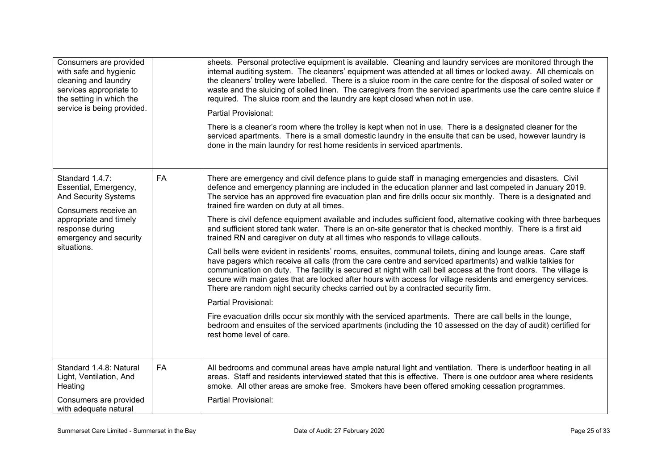| Consumers are provided<br>with safe and hygienic<br>cleaning and laundry<br>services appropriate to<br>the setting in which the<br>service is being provided. |    | sheets. Personal protective equipment is available. Cleaning and laundry services are monitored through the<br>internal auditing system. The cleaners' equipment was attended at all times or locked away. All chemicals on<br>the cleaners' trolley were labelled. There is a sluice room in the care centre for the disposal of soiled water or<br>waste and the sluicing of soiled linen. The caregivers from the serviced apartments use the care centre sluice if<br>required. The sluice room and the laundry are kept closed when not in use.<br>Partial Provisional:<br>There is a cleaner's room where the trolley is kept when not in use. There is a designated cleaner for the<br>serviced apartments. There is a small domestic laundry in the ensuite that can be used, however laundry is<br>done in the main laundry for rest home residents in serviced apartments. |
|---------------------------------------------------------------------------------------------------------------------------------------------------------------|----|--------------------------------------------------------------------------------------------------------------------------------------------------------------------------------------------------------------------------------------------------------------------------------------------------------------------------------------------------------------------------------------------------------------------------------------------------------------------------------------------------------------------------------------------------------------------------------------------------------------------------------------------------------------------------------------------------------------------------------------------------------------------------------------------------------------------------------------------------------------------------------------|
| Standard 1.4.7:<br>Essential, Emergency,<br><b>And Security Systems</b><br>Consumers receive an<br>appropriate and timely<br>response during                  | FA | There are emergency and civil defence plans to guide staff in managing emergencies and disasters. Civil<br>defence and emergency planning are included in the education planner and last competed in January 2019.<br>The service has an approved fire evacuation plan and fire drills occur six monthly. There is a designated and<br>trained fire warden on duty at all times.<br>There is civil defence equipment available and includes sufficient food, alternative cooking with three barbeques<br>and sufficient stored tank water. There is an on-site generator that is checked monthly. There is a first aid                                                                                                                                                                                                                                                               |
| emergency and security                                                                                                                                        |    | trained RN and caregiver on duty at all times who responds to village callouts.                                                                                                                                                                                                                                                                                                                                                                                                                                                                                                                                                                                                                                                                                                                                                                                                      |
| situations.                                                                                                                                                   |    | Call bells were evident in residents' rooms, ensuites, communal toilets, dining and lounge areas. Care staff<br>have pagers which receive all calls (from the care centre and serviced apartments) and walkie talkies for<br>communication on duty. The facility is secured at night with call bell access at the front doors. The village is<br>secure with main gates that are locked after hours with access for village residents and emergency services.<br>There are random night security checks carried out by a contracted security firm.                                                                                                                                                                                                                                                                                                                                   |
|                                                                                                                                                               |    | Partial Provisional:                                                                                                                                                                                                                                                                                                                                                                                                                                                                                                                                                                                                                                                                                                                                                                                                                                                                 |
|                                                                                                                                                               |    | Fire evacuation drills occur six monthly with the serviced apartments. There are call bells in the lounge,<br>bedroom and ensuites of the serviced apartments (including the 10 assessed on the day of audit) certified for<br>rest home level of care.                                                                                                                                                                                                                                                                                                                                                                                                                                                                                                                                                                                                                              |
| Standard 1.4.8: Natural<br>Light, Ventilation, And<br>Heating                                                                                                 | FA | All bedrooms and communal areas have ample natural light and ventilation. There is underfloor heating in all<br>areas. Staff and residents interviewed stated that this is effective. There is one outdoor area where residents<br>smoke. All other areas are smoke free. Smokers have been offered smoking cessation programmes.                                                                                                                                                                                                                                                                                                                                                                                                                                                                                                                                                    |
| Consumers are provided<br>with adequate natural                                                                                                               |    | Partial Provisional:                                                                                                                                                                                                                                                                                                                                                                                                                                                                                                                                                                                                                                                                                                                                                                                                                                                                 |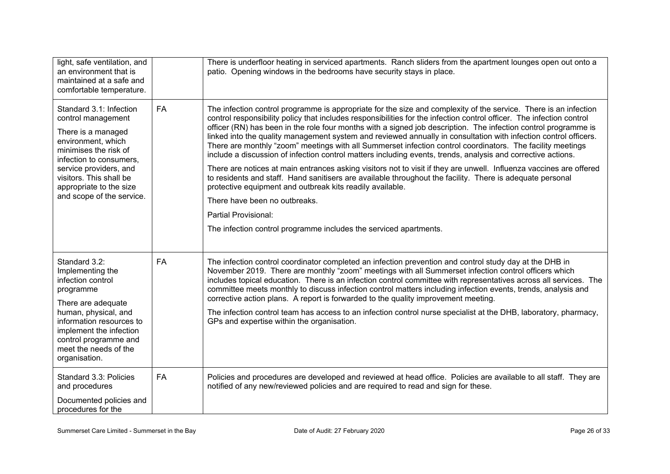| light, safe ventilation, and<br>an environment that is<br>maintained at a safe and<br>comfortable temperature.                                                                                                                                             |           | There is underfloor heating in serviced apartments. Ranch sliders from the apartment lounges open out onto a<br>patio. Opening windows in the bedrooms have security stays in place.                                                                                                                                                                                                                                                                                                                                                                                                                                                                                                                                                                                                                                                                                                                                                                                                                                                                                                                                                          |
|------------------------------------------------------------------------------------------------------------------------------------------------------------------------------------------------------------------------------------------------------------|-----------|-----------------------------------------------------------------------------------------------------------------------------------------------------------------------------------------------------------------------------------------------------------------------------------------------------------------------------------------------------------------------------------------------------------------------------------------------------------------------------------------------------------------------------------------------------------------------------------------------------------------------------------------------------------------------------------------------------------------------------------------------------------------------------------------------------------------------------------------------------------------------------------------------------------------------------------------------------------------------------------------------------------------------------------------------------------------------------------------------------------------------------------------------|
| Standard 3.1: Infection<br>control management<br>There is a managed<br>environment, which<br>minimises the risk of<br>infection to consumers,<br>service providers, and<br>visitors. This shall be<br>appropriate to the size<br>and scope of the service. | FA        | The infection control programme is appropriate for the size and complexity of the service. There is an infection<br>control responsibility policy that includes responsibilities for the infection control officer. The infection control<br>officer (RN) has been in the role four months with a signed job description. The infection control programme is<br>linked into the quality management system and reviewed annually in consultation with infection control officers.<br>There are monthly "zoom" meetings with all Summerset infection control coordinators. The facility meetings<br>include a discussion of infection control matters including events, trends, analysis and corrective actions.<br>There are notices at main entrances asking visitors not to visit if they are unwell. Influenza vaccines are offered<br>to residents and staff. Hand sanitisers are available throughout the facility. There is adequate personal<br>protective equipment and outbreak kits readily available.<br>There have been no outbreaks.<br>Partial Provisional:<br>The infection control programme includes the serviced apartments. |
| Standard 3.2:<br>Implementing the<br>infection control<br>programme<br>There are adequate<br>human, physical, and<br>information resources to<br>implement the infection<br>control programme and<br>meet the needs of the<br>organisation.                | <b>FA</b> | The infection control coordinator completed an infection prevention and control study day at the DHB in<br>November 2019. There are monthly "zoom" meetings with all Summerset infection control officers which<br>includes topical education. There is an infection control committee with representatives across all services. The<br>committee meets monthly to discuss infection control matters including infection events, trends, analysis and<br>corrective action plans. A report is forwarded to the quality improvement meeting.<br>The infection control team has access to an infection control nurse specialist at the DHB, laboratory, pharmacy,<br>GPs and expertise within the organisation.                                                                                                                                                                                                                                                                                                                                                                                                                                 |
| Standard 3.3: Policies<br>and procedures<br>Documented policies and<br>procedures for the                                                                                                                                                                  | FA        | Policies and procedures are developed and reviewed at head office. Policies are available to all staff. They are<br>notified of any new/reviewed policies and are required to read and sign for these.                                                                                                                                                                                                                                                                                                                                                                                                                                                                                                                                                                                                                                                                                                                                                                                                                                                                                                                                        |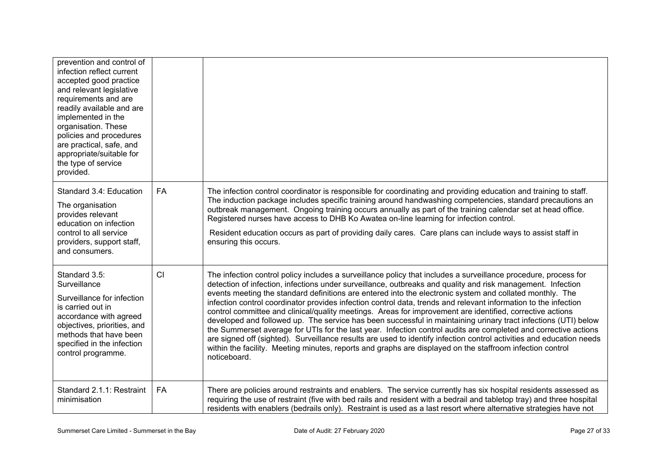| prevention and control of<br>infection reflect current<br>accepted good practice<br>and relevant legislative<br>requirements and are<br>readily available and are<br>implemented in the<br>organisation. These<br>policies and procedures<br>are practical, safe, and<br>appropriate/suitable for<br>the type of service<br>provided. |           |                                                                                                                                                                                                                                                                                                                                                                                                                                                                                                                                                                                                                                                                                                                                                                                                                                                                                                                                                                                                                                                                      |
|---------------------------------------------------------------------------------------------------------------------------------------------------------------------------------------------------------------------------------------------------------------------------------------------------------------------------------------|-----------|----------------------------------------------------------------------------------------------------------------------------------------------------------------------------------------------------------------------------------------------------------------------------------------------------------------------------------------------------------------------------------------------------------------------------------------------------------------------------------------------------------------------------------------------------------------------------------------------------------------------------------------------------------------------------------------------------------------------------------------------------------------------------------------------------------------------------------------------------------------------------------------------------------------------------------------------------------------------------------------------------------------------------------------------------------------------|
| Standard 3.4: Education<br>The organisation<br>provides relevant<br>education on infection<br>control to all service<br>providers, support staff,<br>and consumers.                                                                                                                                                                   | <b>FA</b> | The infection control coordinator is responsible for coordinating and providing education and training to staff.<br>The induction package includes specific training around handwashing competencies, standard precautions an<br>outbreak management. Ongoing training occurs annually as part of the training calendar set at head office.<br>Registered nurses have access to DHB Ko Awatea on-line learning for infection control.<br>Resident education occurs as part of providing daily cares. Care plans can include ways to assist staff in<br>ensuring this occurs.                                                                                                                                                                                                                                                                                                                                                                                                                                                                                         |
| Standard 3.5:<br>Surveillance<br>Surveillance for infection<br>is carried out in<br>accordance with agreed<br>objectives, priorities, and<br>methods that have been<br>specified in the infection<br>control programme.                                                                                                               | CI        | The infection control policy includes a surveillance policy that includes a surveillance procedure, process for<br>detection of infection, infections under surveillance, outbreaks and quality and risk management. Infection<br>events meeting the standard definitions are entered into the electronic system and collated monthly. The<br>infection control coordinator provides infection control data, trends and relevant information to the infection<br>control committee and clinical/quality meetings. Areas for improvement are identified, corrective actions<br>developed and followed up. The service has been successful in maintaining urinary tract infections (UTI) below<br>the Summerset average for UTIs for the last year. Infection control audits are completed and corrective actions<br>are signed off (sighted). Surveillance results are used to identify infection control activities and education needs<br>within the facility. Meeting minutes, reports and graphs are displayed on the staffroom infection control<br>noticeboard. |
| Standard 2.1.1: Restraint<br>minimisation                                                                                                                                                                                                                                                                                             | FA        | There are policies around restraints and enablers. The service currently has six hospital residents assessed as<br>requiring the use of restraint (five with bed rails and resident with a bedrail and tabletop tray) and three hospital<br>residents with enablers (bedrails only). Restraint is used as a last resort where alternative strategies have not                                                                                                                                                                                                                                                                                                                                                                                                                                                                                                                                                                                                                                                                                                        |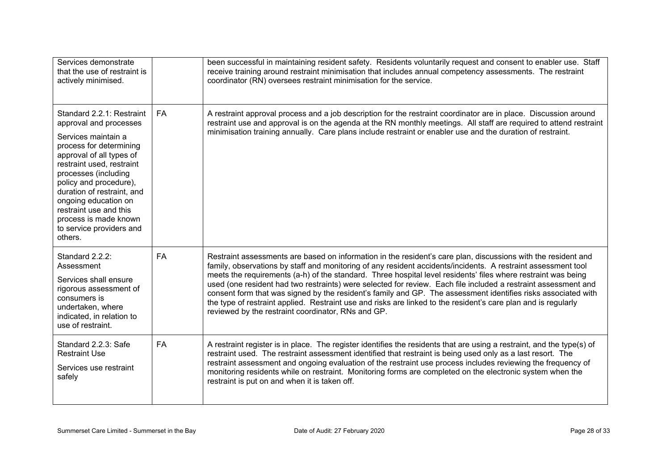| Services demonstrate<br>that the use of restraint is<br>actively minimised.                                                                                                                                                                                                                                                                                      |           | been successful in maintaining resident safety. Residents voluntarily request and consent to enabler use. Staff<br>receive training around restraint minimisation that includes annual competency assessments. The restraint<br>coordinator (RN) oversees restraint minimisation for the service.                                                                                                                                                                                                                                                                                                                                                                                                                                                          |
|------------------------------------------------------------------------------------------------------------------------------------------------------------------------------------------------------------------------------------------------------------------------------------------------------------------------------------------------------------------|-----------|------------------------------------------------------------------------------------------------------------------------------------------------------------------------------------------------------------------------------------------------------------------------------------------------------------------------------------------------------------------------------------------------------------------------------------------------------------------------------------------------------------------------------------------------------------------------------------------------------------------------------------------------------------------------------------------------------------------------------------------------------------|
| Standard 2.2.1: Restraint<br>approval and processes<br>Services maintain a<br>process for determining<br>approval of all types of<br>restraint used, restraint<br>processes (including<br>policy and procedure),<br>duration of restraint, and<br>ongoing education on<br>restraint use and this<br>process is made known<br>to service providers and<br>others. | FA        | A restraint approval process and a job description for the restraint coordinator are in place. Discussion around<br>restraint use and approval is on the agenda at the RN monthly meetings. All staff are required to attend restraint<br>minimisation training annually. Care plans include restraint or enabler use and the duration of restraint.                                                                                                                                                                                                                                                                                                                                                                                                       |
| Standard 2.2.2:<br>Assessment<br>Services shall ensure<br>rigorous assessment of<br>consumers is<br>undertaken, where<br>indicated, in relation to<br>use of restraint.                                                                                                                                                                                          | <b>FA</b> | Restraint assessments are based on information in the resident's care plan, discussions with the resident and<br>family, observations by staff and monitoring of any resident accidents/incidents. A restraint assessment tool<br>meets the requirements (a-h) of the standard. Three hospital level residents' files where restraint was being<br>used (one resident had two restraints) were selected for review. Each file included a restraint assessment and<br>consent form that was signed by the resident's family and GP. The assessment identifies risks associated with<br>the type of restraint applied. Restraint use and risks are linked to the resident's care plan and is regularly<br>reviewed by the restraint coordinator, RNs and GP. |
| Standard 2.2.3: Safe<br><b>Restraint Use</b><br>Services use restraint<br>safely                                                                                                                                                                                                                                                                                 | <b>FA</b> | A restraint register is in place. The register identifies the residents that are using a restraint, and the type(s) of<br>restraint used. The restraint assessment identified that restraint is being used only as a last resort. The<br>restraint assessment and ongoing evaluation of the restraint use process includes reviewing the frequency of<br>monitoring residents while on restraint. Monitoring forms are completed on the electronic system when the<br>restraint is put on and when it is taken off.                                                                                                                                                                                                                                        |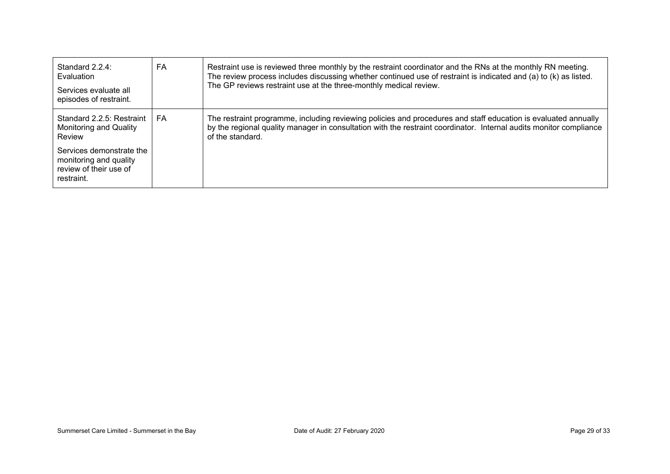| Standard 2.2.4:<br>Evaluation<br>Services evaluate all<br>episodes of restraint.                                                                            | FA | Restraint use is reviewed three monthly by the restraint coordinator and the RNs at the monthly RN meeting.<br>The review process includes discussing whether continued use of restraint is indicated and (a) to (k) as listed.<br>The GP reviews restraint use at the three-monthly medical review. |
|-------------------------------------------------------------------------------------------------------------------------------------------------------------|----|------------------------------------------------------------------------------------------------------------------------------------------------------------------------------------------------------------------------------------------------------------------------------------------------------|
| Standard 2.2.5: Restraint<br>Monitoring and Quality<br>Review<br>Services demonstrate the<br>monitoring and quality<br>review of their use of<br>restraint. | FA | The restraint programme, including reviewing policies and procedures and staff education is evaluated annually<br>by the regional quality manager in consultation with the restraint coordinator. Internal audits monitor compliance<br>of the standard.                                             |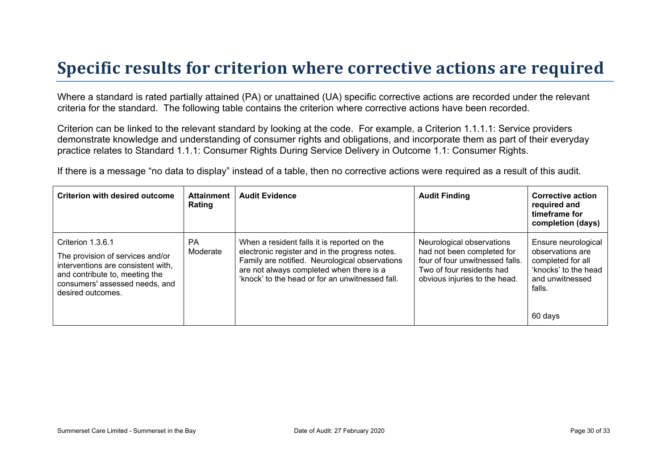## **Specific results for criterion where corrective actions are required**

Where a standard is rated partially attained (PA) or unattained (UA) specific corrective actions are recorded under the relevant criteria for the standard. The following table contains the criterion where corrective actions have been recorded.

Criterion can be linked to the relevant standard by looking at the code. For example, a Criterion 1.1.1.1: Service providers demonstrate knowledge and understanding of consumer rights and obligations, and incorporate them as part of their everyday practice relates to Standard 1.1.1: Consumer Rights During Service Delivery in Outcome 1.1: Consumer Rights.

If there is a message "no data to display" instead of a table, then no corrective actions were required as a result of this audit.

| <b>Criterion with desired outcome</b>                                                                                                                                                | <b>Attainment</b><br>Rating | <b>Audit Evidence</b>                                                                                                                                                                                                                          | <b>Audit Finding</b>                                                                                                                                     | <b>Corrective action</b><br>required and<br>timeframe for<br>completion (days)                                               |
|--------------------------------------------------------------------------------------------------------------------------------------------------------------------------------------|-----------------------------|------------------------------------------------------------------------------------------------------------------------------------------------------------------------------------------------------------------------------------------------|----------------------------------------------------------------------------------------------------------------------------------------------------------|------------------------------------------------------------------------------------------------------------------------------|
| Criterion 1.3.6.1<br>The provision of services and/or<br>interventions are consistent with,<br>and contribute to, meeting the<br>consumers' assessed needs, and<br>desired outcomes. | <b>PA</b><br>Moderate       | When a resident falls it is reported on the<br>electronic register and in the progress notes.<br>Family are notified. Neurological observations<br>are not always completed when there is a<br>'knock' to the head or for an unwitnessed fall. | Neurological observations<br>had not been completed for<br>four of four unwitnessed falls.<br>Two of four residents had<br>obvious injuries to the head. | Ensure neurological<br>observations are<br>completed for all<br>'knocks' to the head<br>and unwitnessed<br>falls.<br>60 days |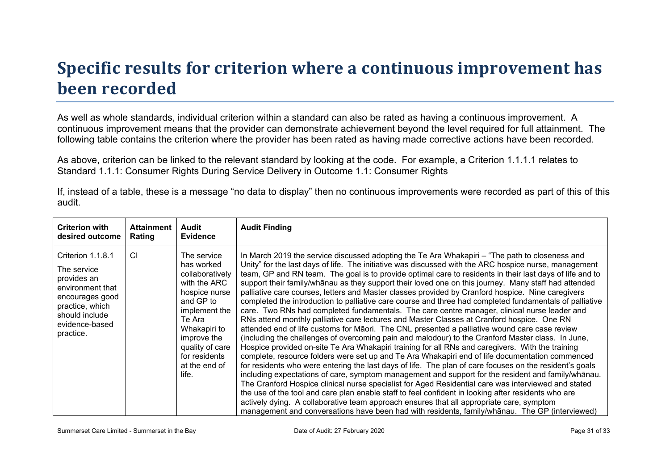# **Specific results for criterion where a continuous improvement has been recorded**

As well as whole standards, individual criterion within a standard can also be rated as having a continuous improvement. A continuous improvement means that the provider can demonstrate achievement beyond the level required for full attainment. The following table contains the criterion where the provider has been rated as having made corrective actions have been recorded.

As above, criterion can be linked to the relevant standard by looking at the code. For example, a Criterion 1.1.1.1 relates to Standard 1.1.1: Consumer Rights During Service Delivery in Outcome 1.1: Consumer Rights

If, instead of a table, these is a message "no data to display" then no continuous improvements were recorded as part of this of this audit.

| <b>Criterion with</b>                                                                                                                                      | <b>Attainment</b> | Audit                                                                                                                                                                                                              | <b>Audit Finding</b>                                                                                                                                                                                                                                                                                                                                                                                                                                                                                                                                                                                                                                                                                                                                                                                                                                                                                                                                                                                                                                                                                                                                                                                                                                                                                                                                                                                                                                                                                                                                                                                                                                                                                                                                                                                                                                                                |
|------------------------------------------------------------------------------------------------------------------------------------------------------------|-------------------|--------------------------------------------------------------------------------------------------------------------------------------------------------------------------------------------------------------------|-------------------------------------------------------------------------------------------------------------------------------------------------------------------------------------------------------------------------------------------------------------------------------------------------------------------------------------------------------------------------------------------------------------------------------------------------------------------------------------------------------------------------------------------------------------------------------------------------------------------------------------------------------------------------------------------------------------------------------------------------------------------------------------------------------------------------------------------------------------------------------------------------------------------------------------------------------------------------------------------------------------------------------------------------------------------------------------------------------------------------------------------------------------------------------------------------------------------------------------------------------------------------------------------------------------------------------------------------------------------------------------------------------------------------------------------------------------------------------------------------------------------------------------------------------------------------------------------------------------------------------------------------------------------------------------------------------------------------------------------------------------------------------------------------------------------------------------------------------------------------------------|
| desired outcome                                                                                                                                            | Rating            | <b>Evidence</b>                                                                                                                                                                                                    |                                                                                                                                                                                                                                                                                                                                                                                                                                                                                                                                                                                                                                                                                                                                                                                                                                                                                                                                                                                                                                                                                                                                                                                                                                                                                                                                                                                                                                                                                                                                                                                                                                                                                                                                                                                                                                                                                     |
| Criterion 1.1.8.1<br>The service<br>provides an<br>environment that<br>encourages good<br>practice, which<br>should include<br>evidence-based<br>practice. | CI                | The service<br>has worked<br>collaboratively<br>with the ARC<br>hospice nurse<br>and GP to<br>implement the<br>Te Ara<br>Whakapiri to<br>improve the<br>quality of care<br>for residents<br>at the end of<br>life. | In March 2019 the service discussed adopting the Te Ara Whakapiri – "The path to closeness and<br>Unity" for the last days of life. The initiative was discussed with the ARC hospice nurse, management<br>team, GP and RN team. The goal is to provide optimal care to residents in their last days of life and to<br>support their family/whanau as they support their loved one on this journey. Many staff had attended<br>palliative care courses, letters and Master classes provided by Cranford hospice. Nine caregivers<br>completed the introduction to palliative care course and three had completed fundamentals of palliative<br>care. Two RNs had completed fundamentals. The care centre manager, clinical nurse leader and<br>RNs attend monthly palliative care lectures and Master Classes at Cranford hospice. One RN<br>attended end of life customs for Māori. The CNL presented a palliative wound care case review<br>(including the challenges of overcoming pain and malodour) to the Cranford Master class. In June,<br>Hospice provided on-site Te Ara Whakapiri training for all RNs and caregivers. With the training<br>complete, resource folders were set up and Te Ara Whakapiri end of life documentation commenced<br>for residents who were entering the last days of life. The plan of care focuses on the resident's goals<br>including expectations of care, symptom management and support for the resident and family/whanau.<br>The Cranford Hospice clinical nurse specialist for Aged Residential care was interviewed and stated<br>the use of the tool and care plan enable staff to feel confident in looking after residents who are<br>actively dying. A collaborative team approach ensures that all appropriate care, symptom<br>management and conversations have been had with residents, family/whanau. The GP (interviewed) |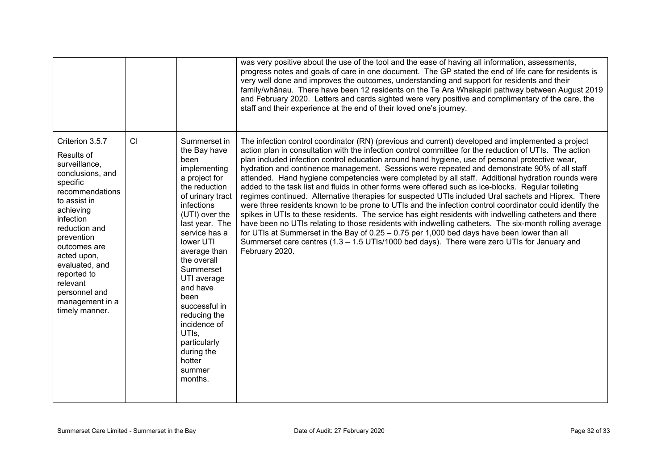|                                                                                                                                                                                                                                                                                                              |    |                                                                                                                                                                                                                                                                                                                                                                                                  | was very positive about the use of the tool and the ease of having all information, assessments,<br>progress notes and goals of care in one document. The GP stated the end of life care for residents is<br>very well done and improves the outcomes, understanding and support for residents and their<br>family/whānau. There have been 12 residents on the Te Ara Whakapiri pathway between August 2019<br>and February 2020. Letters and cards sighted were very positive and complimentary of the care, the<br>staff and their experience at the end of their loved one's journey.                                                                                                                                                                                                                                                                                                                                                                                                                                                                                                                                                                                                                                                                                           |
|--------------------------------------------------------------------------------------------------------------------------------------------------------------------------------------------------------------------------------------------------------------------------------------------------------------|----|--------------------------------------------------------------------------------------------------------------------------------------------------------------------------------------------------------------------------------------------------------------------------------------------------------------------------------------------------------------------------------------------------|------------------------------------------------------------------------------------------------------------------------------------------------------------------------------------------------------------------------------------------------------------------------------------------------------------------------------------------------------------------------------------------------------------------------------------------------------------------------------------------------------------------------------------------------------------------------------------------------------------------------------------------------------------------------------------------------------------------------------------------------------------------------------------------------------------------------------------------------------------------------------------------------------------------------------------------------------------------------------------------------------------------------------------------------------------------------------------------------------------------------------------------------------------------------------------------------------------------------------------------------------------------------------------|
| Criterion 3.5.7<br>Results of<br>surveillance,<br>conclusions, and<br>specific<br>recommendations<br>to assist in<br>achieving<br>infection<br>reduction and<br>prevention<br>outcomes are<br>acted upon,<br>evaluated, and<br>reported to<br>relevant<br>personnel and<br>management in a<br>timely manner. | CI | Summerset in<br>the Bay have<br>been<br>implementing<br>a project for<br>the reduction<br>of urinary tract<br>infections<br>(UTI) over the<br>last year. The<br>service has a<br>lower UTI<br>average than<br>the overall<br>Summerset<br>UTI average<br>and have<br>been<br>successful in<br>reducing the<br>incidence of<br>UTIs.<br>particularly<br>during the<br>hotter<br>summer<br>months. | The infection control coordinator (RN) (previous and current) developed and implemented a project<br>action plan in consultation with the infection control committee for the reduction of UTIs. The action<br>plan included infection control education around hand hygiene, use of personal protective wear,<br>hydration and continence management. Sessions were repeated and demonstrate 90% of all staff<br>attended. Hand hygiene competencies were completed by all staff. Additional hydration rounds were<br>added to the task list and fluids in other forms were offered such as ice-blocks. Regular toileting<br>regimes continued. Alternative therapies for suspected UTIs included Ural sachets and Hiprex. There<br>were three residents known to be prone to UTIs and the infection control coordinator could identify the<br>spikes in UTIs to these residents. The service has eight residents with indwelling catheters and there<br>have been no UTIs relating to those residents with indwelling catheters. The six-month rolling average<br>for UTIs at Summerset in the Bay of $0.25 - 0.75$ per 1,000 bed days have been lower than all<br>Summerset care centres (1.3 - 1.5 UTIs/1000 bed days). There were zero UTIs for January and<br>February 2020. |